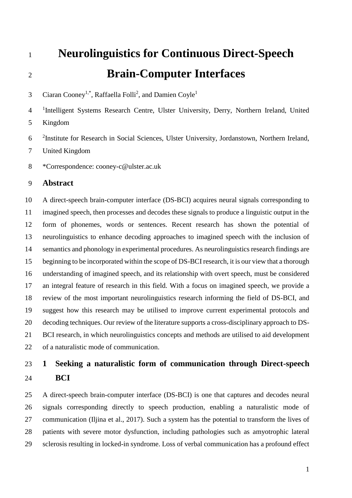# **Neurolinguistics for Continuous Direct-Speech Brain-Computer Interfaces**

Ciaran Cooney<sup>1,\*</sup>, Raffaella Folli<sup>2</sup>, and Damien Coyle<sup>1</sup> 

<sup>1</sup>Intelligent Systems Research Centre, Ulster University, Derry, Northern Ireland, United Kingdom

6 <sup>2</sup>Institute for Research in Social Sciences, Ulster University, Jordanstown, Northern Ireland,

United Kingdom

\*Correspondence: cooney-c@ulster.ac.uk

### **Abstract**

 A direct-speech brain-computer interface (DS-BCI) acquires neural signals corresponding to imagined speech, then processes and decodes these signals to produce a linguistic output in the form of phonemes, words or sentences. Recent research has shown the potential of neurolinguistics to enhance decoding approaches to imagined speech with the inclusion of semantics and phonology in experimental procedures. As neurolinguistics research findings are beginning to be incorporated within the scope of DS-BCI research, it is our view that a thorough understanding of imagined speech, and its relationship with overt speech, must be considered an integral feature of research in this field. With a focus on imagined speech, we provide a review of the most important neurolinguistics research informing the field of DS-BCI, and suggest how this research may be utilised to improve current experimental protocols and decoding techniques. Our review of the literature supports a cross-disciplinary approach to DS- BCI research, in which neurolinguistics concepts and methods are utilised to aid development of a naturalistic mode of communication.

## **1 Seeking a naturalistic form of communication through Direct-speech BCI**

 A direct-speech brain-computer interface (DS-BCI) is one that captures and decodes neural signals corresponding directly to speech production, enabling a naturalistic mode of communication (Iljina et al., 2017). Such a system has the potential to transform the lives of patients with severe motor dysfunction, including pathologies such as amyotrophic lateral sclerosis resulting in locked-in syndrome. Loss of verbal communication has a profound effect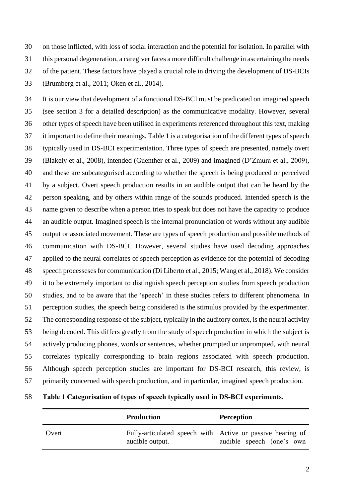on those inflicted, with loss of social interaction and the potential for isolation. In parallel with this personal degeneration, a caregiver faces a more difficult challenge in ascertaining the needs of the patient. These factors have played a crucial role in driving the development of DS-BCIs (Brumberg et al., 2011; Oken et al., 2014).

 It is our view that development of a functional DS-BCI must be predicated on imagined speech (see section 3 for a detailed description) as the communicative modality. However, several other types of speech have been utilised in experiments referenced throughout this text, making it important to define their meanings. Table 1 is a categorisation of the different types of speech typically used in DS-BCI experimentation. Three types of speech are presented, namely overt (Blakely et al., 2008), intended (Guenther et al., 2009) and imagined (D'Zmura et al., 2009), and these are subcategorised according to whether the speech is being produced or perceived by a subject. Overt speech production results in an audible output that can be heard by the person speaking, and by others within range of the sounds produced. Intended speech is the name given to describe when a person tries to speak but does not have the capacity to produce an audible output. Imagined speech is the internal pronunciation of words without any audible output or associated movement. These are types of speech production and possible methods of communication with DS-BCI. However, several studies have used decoding approaches applied to the neural correlates of speech perception as evidence for the potential of decoding speech processesesfor communication (Di Liberto et al., 2015; Wang et al., 2018). We consider it to be extremely important to distinguish speech perception studies from speech production studies, and to be aware that the 'speech' in these studies refers to different phenomena. In perception studies, the speech being considered is the stimulus provided by the experimenter. The corresponding response of the subject, typically in the auditory cortex, is the neural activity being decoded. This differs greatly from the study of speech production in which the subject is actively producing phones, words or sentences, whether prompted or unprompted, with neural correlates typically corresponding to brain regions associated with speech production. Although speech perception studies are important for DS-BCI research, this review, is primarily concerned with speech production, and in particular, imagined speech production.

|  | 58 Table 1 Categorisation of types of speech typically used in DS-BCI experiments. |  |  |  |
|--|------------------------------------------------------------------------------------|--|--|--|
|  |                                                                                    |  |  |  |

|       | <b>Production</b> | <b>Perception</b>                                                                       |
|-------|-------------------|-----------------------------------------------------------------------------------------|
| Overt | audible output.   | Fully-articulated speech with Active or passive hearing of<br>audible speech (one's own |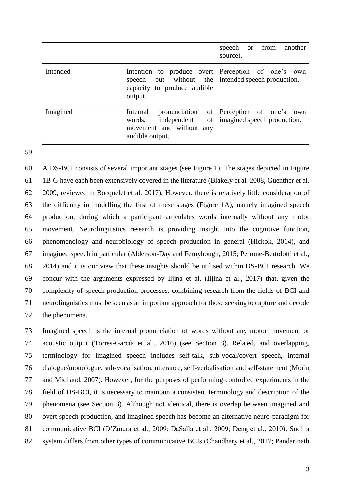|          |                                                                                              | speech or from another<br>source).                                         |
|----------|----------------------------------------------------------------------------------------------|----------------------------------------------------------------------------|
| Intended | speech but without the intended speech production.<br>capacity to produce audible<br>output. | Intention to produce overt Perception of one's own                         |
| Imagined | Internal<br>independent<br>words,<br>movement and without any<br>audible output.             | pronunciation of Perception of one's own<br>of imagined speech production. |

 A DS-BCI consists of several important stages (see Figure 1). The stages depicted in Figure 1B-G have each been extensively covered in the literature (Blakely et al. 2008, Guenther et al. 2009, reviewed in Bocquelet et al. 2017)*.* However, there is relatively little consideration of the difficulty in modelling the first of these stages (Figure 1A), namely imagined speech production, during which a participant articulates words internally without any motor movement. Neurolinguistics research is providing insight into the cognitive function, phenomenology and neurobiology of speech production in general (Hickok, 2014), and imagined speech in particular (Alderson-Day and Fernyhough, 2015; Perrone-Bertolotti et al., 2014) and it is our view that these insights should be utilised within DS-BCI research. We concur with the arguments expressed by Iljina et al. (Iljina et al., 2017) that, given the complexity of speech production processes, combining research from the fields of BCI and neurolinguistics must be seen as an important approach for those seeking to capture and decode the phenomena.

 Imagined speech is the internal pronunciation of words without any motor movement or acoustic output (Torres-García et al., 2016) (see Section 3). Related, and overlapping, terminology for imagined speech includes self-talk, sub-vocal/covert speech, internal dialogue/monologue, sub-vocalisation, utterance, self-verbalisation and self-statement (Morin and Michaud, 2007). However, for the purposes of performing controlled experiments in the field of DS-BCI, it is necessary to maintain a consistent terminology and description of the phenomena (see Section 3). Although not identical, there is overlap between imagined and overt speech production, and imagined speech has become an alternative neuro-paradigm for communicative BCI (D'Zmura et al., 2009; DaSalla et al., 2009; Deng et al., 2010). Such a system differs from other types of communicative BCIs (Chaudhary et al., 2017; Pandarinath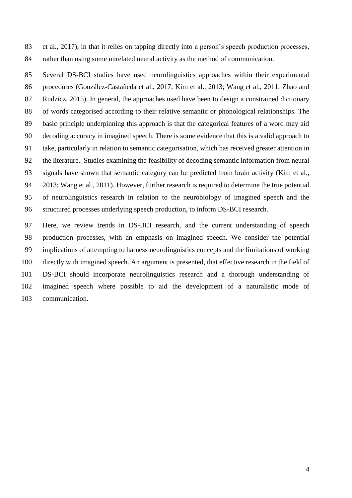et al., 2017), in that it relies on tapping directly into a person's speech production processes, rather than using some unrelated neural activity as the method of communication.

 Several DS-BCI studies have used neurolinguistics approaches within their experimental procedures (González-Castañeda et al., 2017; Kim et al., 2013; Wang et al., 2011; Zhao and Rudzicz, 2015). In general, the approaches used have been to design a constrained dictionary of words categorised according to their relative semantic or phonological relationships. The basic principle underpinning this approach is that the categorical features of a word may aid decoding accuracy in imagined speech. There is some evidence that this is a valid approach to take, particularly in relation to semantic categorisation, which has received greater attention in the literature. Studies examining the feasibility of decoding semantic information from neural signals have shown that semantic category can be predicted from brain activity (Kim et al., 2013; Wang et al., 2011). However, further research is required to determine the true potential of neurolinguistics research in relation to the neurobiology of imagined speech and the structured processes underlying speech production, to inform DS-BCI research.

 Here, we review trends in DS-BCI research, and the current understanding of speech production processes, with an emphasis on imagined speech. We consider the potential implications of attempting to harness neurolinguistics concepts and the limitations of working directly with imagined speech. An argument is presented, that effective research in the field of DS-BCI should incorporate neurolinguistics research and a thorough understanding of imagined speech where possible to aid the development of a naturalistic mode of communication.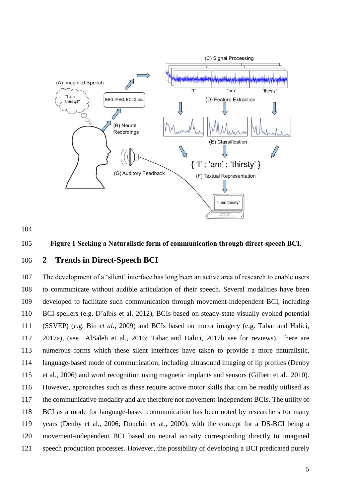

#### **Figure 1 Seeking a Naturalistic form of communication through direct-speech BCI.**

#### **2 Trends in Direct-Speech BCI**

 The development of a 'silent' interface has long been an active area of research to enable users to communicate without audible articulation of their speech. Several modalities have been developed to facilitate such communication through movement-independent BCI, including BCI-spellers (e.g. D'albis et al. 2012), BCIs based on steady-state visually evoked potential (SSVEP) (e.g. Bin *et al.*, 2009) and BCIs based on motor imagery (e.g. Tabar and Halici, 2017a), (see AlSaleh et al., 2016; Tabar and Halici, 2017b see for reviews). There are numerous forms which these silent interfaces have taken to provide a more naturalistic, language-based mode of communication, including ultrasound imaging of lip profiles (Denby et al., 2006) and word recognition using magnetic implants and sensors (Gilbert et al., 2010). However, approaches such as these require active motor skills that can be readily utilised as the communicative modality and are therefore not movement-independent BCIs. The utility of BCI as a mode for language-based communication has been noted by researchers for many years (Denby et al., 2006; Donchin et al., 2000), with the concept for a DS-BCI being a movement-independent BCI based on neural activity corresponding directly to imagined speech production processes. However, the possibility of developing a BCI predicated purely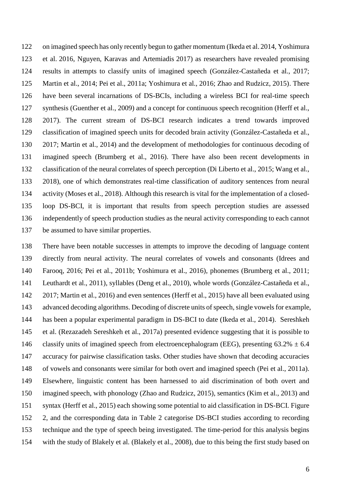on imagined speech has only recently begun to gather momentum (Ikeda et al. 2014, Yoshimura et al. 2016, Nguyen, Karavas and Artemiadis 2017) as researchers have revealed promising results in attempts to classify units of imagined speech (González-Castañeda et al., 2017; Martin et al., 2014; Pei et al., 2011a; Yoshimura et al., 2016; Zhao and Rudzicz, 2015). There have been several incarnations of DS-BCIs, including a wireless BCI for real-time speech synthesis (Guenther et al., 2009) and a concept for continuous speech recognition (Herff et al., 2017). The current stream of DS-BCI research indicates a trend towards improved classification of imagined speech units for decoded brain activity (González-Castañeda et al., 2017; Martin et al., 2014) and the development of methodologies for continuous decoding of imagined speech (Brumberg et al., 2016). There have also been recent developments in classification of the neural correlates of speech perception (Di Liberto et al., 2015; Wang et al., 2018), one of which demonstrates real-time classification of auditory sentences from neural activity (Moses et al., 2018). Although this research is vital for the implementation of a closed- loop DS-BCI, it is important that results from speech perception studies are assessed independently of speech production studies as the neural activity corresponding to each cannot be assumed to have similar properties.

 There have been notable successes in attempts to improve the decoding of language content directly from neural activity. The neural correlates of vowels and consonants (Idrees and Farooq, 2016; Pei et al., 2011b; Yoshimura et al., 2016), phonemes (Brumberg et al., 2011; Leuthardt et al., 2011), syllables (Deng et al., 2010), whole words (González-Castañeda et al., 2017; Martin et al., 2016) and even sentences (Herff et al., 2015) have all been evaluated using advanced decoding algorithms. Decoding of discrete units of speech, single vowels for example, has been a popular experimental paradigm in DS-BCI to date (Ikeda et al., 2014). Sereshkeh et al. (Rezazadeh Sereshkeh et al., 2017a) presented evidence suggesting that it is possible to 146 classify units of imagined speech from electroencephalogram (EEG), presenting  $63.2\% \pm 6.4$  accuracy for pairwise classification tasks. Other studies have shown that decoding accuracies of vowels and consonants were similar for both overt and imagined speech (Pei et al., 2011a). Elsewhere, linguistic content has been harnessed to aid discrimination of both overt and imagined speech, with phonology (Zhao and Rudzicz, 2015), semantics (Kim et al., 2013) and syntax (Herff et al., 2015) each showing some potential to aid classification in DS-BCI. Figure 2, and the corresponding data in Table 2 categorise DS-BCI studies according to recording technique and the type of speech being investigated. The time-period for this analysis begins with the study of Blakely et al. (Blakely et al., 2008), due to this being the first study based on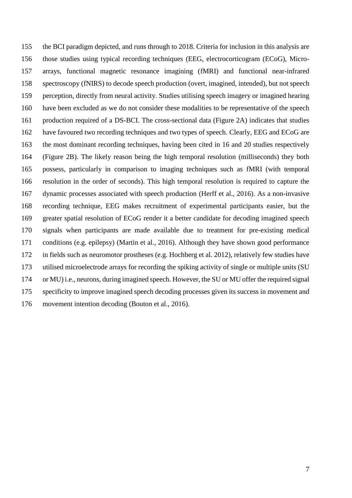the BCI paradigm depicted, and runs through to 2018. Criteria for inclusion in this analysis are those studies using typical recording techniques (EEG, electrocorticogram (ECoG), Micro- arrays, functional magnetic resonance imagining (fMRI) and functional near-infrared spectroscopy (fNIRS) to decode speech production (overt, imagined, intended), but not speech perception, directly from neural activity. Studies utilising speech imagery or imagined hearing have been excluded as we do not consider these modalities to be representative of the speech production required of a DS-BCI. The cross-sectional data (Figure 2A) indicates that studies have favoured two recording techniques and two types of speech. Clearly, EEG and ECoG are the most dominant recording techniques, having been cited in 16 and 20 studies respectively (Figure 2B). The likely reason being the high temporal resolution (milliseconds) they both possess, particularly in comparison to imaging techniques such as fMRI (with temporal resolution in the order of seconds). This high temporal resolution is required to capture the dynamic processes associated with speech production (Herff et al., 2016). As a non-invasive recording technique, EEG makes recruitment of experimental participants easier, but the greater spatial resolution of ECoG render it a better candidate for decoding imagined speech signals when participants are made available due to treatment for pre-existing medical conditions (e.g. epilepsy) (Martin et al., 2016). Although they have shown good performance in fields such as neuromotor prostheses (e.g. Hochberg et al. 2012), relatively few studies have utilised microelectrode arrays for recording the spiking activity of single or multiple units (SU or MU) i.e., neurons, during imagined speech. However, the SU or MU offer the required signal specificity to improve imagined speech decoding processes given its success in movement and movement intention decoding (Bouton et al., 2016).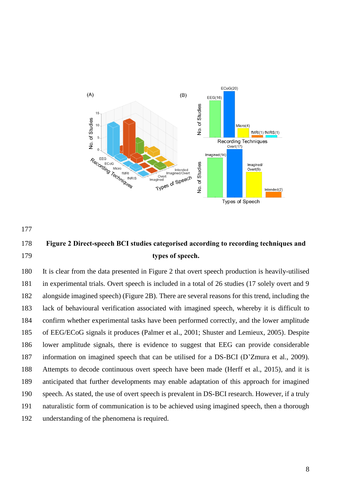

### **Figure 2 Direct-speech BCI studies categorised according to recording techniques and types of speech.**

 It is clear from the data presented in Figure 2 that overt speech production is heavily-utilised in experimental trials. Overt speech is included in a total of 26 studies (17 solely overt and 9 alongside imagined speech) (Figure 2B). There are several reasons for this trend, including the lack of behavioural verification associated with imagined speech, whereby it is difficult to confirm whether experimental tasks have been performed correctly, and the lower amplitude of EEG/ECoG signals it produces (Palmer et al., 2001; Shuster and Lemieux, 2005). Despite lower amplitude signals, there is evidence to suggest that EEG can provide considerable information on imagined speech that can be utilised for a DS-BCI (D'Zmura et al., 2009). Attempts to decode continuous overt speech have been made (Herff et al., 2015), and it is anticipated that further developments may enable adaptation of this approach for imagined speech. As stated, the use of overt speech is prevalent in DS-BCI research. However, if a truly naturalistic form of communication is to be achieved using imagined speech, then a thorough understanding of the phenomena is required.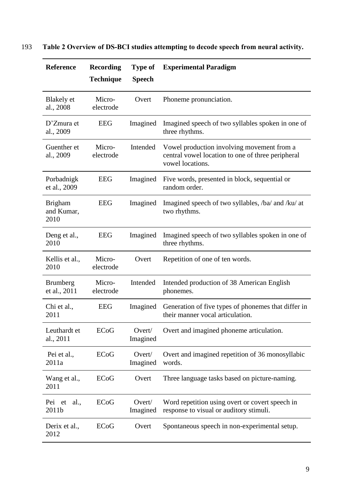| <b>Reference</b>                     | <b>Recording</b><br><b>Technique</b> | <b>Type of</b><br><b>Speech</b> | <b>Experimental Paradigm</b>                                                                                        |  |  |
|--------------------------------------|--------------------------------------|---------------------------------|---------------------------------------------------------------------------------------------------------------------|--|--|
| Blakely et<br>al., 2008              | Micro-<br>electrode                  | Overt                           | Phoneme pronunciation.                                                                                              |  |  |
| D'Zmura et<br>al., 2009              | <b>EEG</b>                           | Imagined                        | Imagined speech of two syllables spoken in one of<br>three rhythms.                                                 |  |  |
| Guenther et<br>al., 2009             | Micro-<br>electrode                  | Intended                        | Vowel production involving movement from a<br>central vowel location to one of three peripheral<br>vowel locations. |  |  |
| Porbadnigk<br>et al., 2009           | <b>EEG</b>                           | Imagined                        | Five words, presented in block, sequential or<br>random order.                                                      |  |  |
| <b>Brigham</b><br>and Kumar,<br>2010 | <b>EEG</b>                           | Imagined                        | Imagined speech of two syllables, /ba/ and /ku/ at<br>two rhythms.                                                  |  |  |
| Deng et al.,<br>2010                 | <b>EEG</b>                           | Imagined                        | Imagined speech of two syllables spoken in one of<br>three rhythms.                                                 |  |  |
| Kellis et al.,<br>2010               | Micro-<br>electrode                  | Overt                           | Repetition of one of ten words.                                                                                     |  |  |
| <b>Brumberg</b><br>et al., 2011      | Micro-<br>electrode                  | Intended                        | Intended production of 38 American English<br>phonemes.                                                             |  |  |
| Chi et al.,<br>2011                  | <b>EEG</b>                           | Imagined                        | Generation of five types of phonemes that differ in<br>their manner vocal articulation.                             |  |  |
| Leuthardt et<br>al., 2011            | ECoG                                 | Overt/<br>Imagined              | Overt and imagined phoneme articulation.                                                                            |  |  |
| Pei et al.,<br>2011a                 | ECoG                                 | Overt/<br>Imagined              | Overt and imagined repetition of 36 monosyllabic<br>words.                                                          |  |  |
| Wang et al.,<br>2011                 | ECoG                                 | Overt                           | Three language tasks based on picture-naming.                                                                       |  |  |
| Pei et<br>al.,<br>2011b              | ECoG                                 | Overt/<br>Imagined              | Word repetition using overt or covert speech in<br>response to visual or auditory stimuli.                          |  |  |
| Derix et al.,<br>2012                | ECoG                                 | Overt                           | Spontaneous speech in non-experimental setup.                                                                       |  |  |

### 193 **Table 2 Overview of DS-BCI studies attempting to decode speech from neural activity.**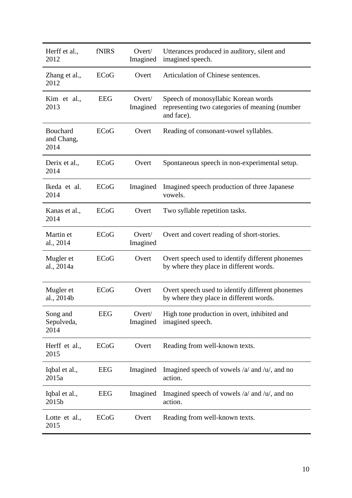| Herff et al.,<br>2012                 | <b>fNIRS</b> | Overt/<br>Imagined | Utterances produced in auditory, silent and<br>imagined speech.                                     |  |
|---------------------------------------|--------------|--------------------|-----------------------------------------------------------------------------------------------------|--|
| Zhang et al.,<br>2012                 | <b>ECoG</b>  | Overt              | Articulation of Chinese sentences.                                                                  |  |
| Kim et al.,<br>2013                   | <b>EEG</b>   | Overt/<br>Imagined | Speech of monosyllabic Korean words<br>representing two categories of meaning (number<br>and face). |  |
| <b>Bouchard</b><br>and Chang,<br>2014 | ECoG         | Overt              | Reading of consonant-vowel syllables.                                                               |  |
| Derix et al.,<br>2014                 | ECoG         | Overt              | Spontaneous speech in non-experimental setup.                                                       |  |
| Ikeda et al.<br>2014                  | ECoG         | Imagined           | Imagined speech production of three Japanese<br>vowels.                                             |  |
| Kanas et al.,<br>2014                 | ECoG         | Overt              | Two syllable repetition tasks.                                                                      |  |
| Martin et<br>al., 2014                | ECoG         | Overt/<br>Imagined | Overt and covert reading of short-stories.                                                          |  |
| Mugler et<br>al., 2014a               | ECoG         | Overt              | Overt speech used to identify different phonemes<br>by where they place in different words.         |  |
| Mugler et<br>al., 2014b               | ECoG         | Overt              | Overt speech used to identify different phonemes<br>by where they place in different words.         |  |
| Song and<br>Sepulveda,<br>2014        | <b>EEG</b>   | Overt/<br>Imagined | High tone production in overt, inhibited and<br>imagined speech.                                    |  |
| Herff et al.,<br>2015                 | ECoG         | Overt              | Reading from well-known texts.                                                                      |  |
| Iqbal et al.,<br>2015a                | <b>EEG</b>   | Imagined           | Imagined speech of vowels $/a$ and $/u$ , and no<br>action.                                         |  |
| Iqbal et al.,<br>2015b                | <b>EEG</b>   | Imagined           | Imagined speech of vowels $/a$ and $/u$ , and no<br>action.                                         |  |
| Lotte et al.,<br>2015                 | ECoG         | Overt              | Reading from well-known texts.                                                                      |  |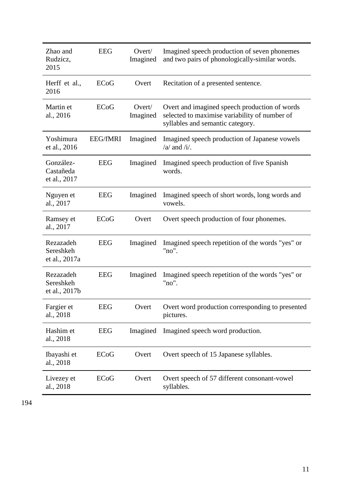| Zhao and<br>Rudzicz,<br>2015            | <b>EEG</b>      | Overt/<br>Imagined | Imagined speech production of seven phonemes<br>and two pairs of phonologically-similar words.                                     |  |
|-----------------------------------------|-----------------|--------------------|------------------------------------------------------------------------------------------------------------------------------------|--|
| Herff et al.,<br>2016                   | ECoG            | Overt              | Recitation of a presented sentence.                                                                                                |  |
| Martin et<br>al., 2016                  | <b>ECoG</b>     | Overt/<br>Imagined | Overt and imagined speech production of words<br>selected to maximise variability of number of<br>syllables and semantic category. |  |
| Yoshimura<br>et al., 2016               | <b>EEG/fMRI</b> | Imagined           | Imagined speech production of Japanese vowels<br>$/a$ and $/i$ .                                                                   |  |
| González-<br>Castañeda<br>et al., 2017  | <b>EEG</b>      | Imagined           | Imagined speech production of five Spanish<br>words.                                                                               |  |
| Nguyen et<br>al., 2017                  | <b>EEG</b>      | Imagined           | Imagined speech of short words, long words and<br>vowels.                                                                          |  |
| Ramsey et<br>al., 2017                  | ECoG            | Overt              | Overt speech production of four phonemes.                                                                                          |  |
| Rezazadeh<br>Sereshkeh<br>et al., 2017a | <b>EEG</b>      | Imagined           | Imagined speech repetition of the words "yes" or<br>"no".                                                                          |  |
| Rezazadeh<br>Sereshkeh<br>et al., 2017b | <b>EEG</b>      | Imagined           | Imagined speech repetition of the words "yes" or<br>"no".                                                                          |  |
| Fargier et<br>al., 2018                 | <b>EEG</b>      | Overt              | Overt word production corresponding to presented<br>pictures.                                                                      |  |
| Hashim et<br>al., 2018                  | <b>EEG</b>      | Imagined           | Imagined speech word production.                                                                                                   |  |
| Ibayashi et<br>al., 2018                | ECoG            | Overt              | Overt speech of 15 Japanese syllables.                                                                                             |  |
| Livezey et<br>al., 2018                 | ECoG            | Overt              | Overt speech of 57 different consonant-vowel<br>syllables.                                                                         |  |

194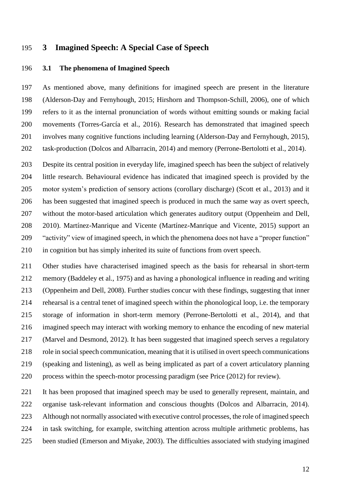#### **3 Imagined Speech: A Special Case of Speech**

#### **3.1 The phenomena of Imagined Speech**

 As mentioned above, many definitions for imagined speech are present in the literature (Alderson-Day and Fernyhough, 2015; Hirshorn and Thompson-Schill, 2006), one of which refers to it as the internal pronunciation of words without emitting sounds or making facial movements (Torres-García et al., 2016). Research has demonstrated that imagined speech involves many cognitive functions including learning (Alderson-Day and Fernyhough, 2015), task-production (Dolcos and Albarracin, 2014) and memory (Perrone-Bertolotti et al., 2014).

 Despite its central position in everyday life, imagined speech has been the subject of relatively little research. Behavioural evidence has indicated that imagined speech is provided by the motor system's prediction of sensory actions (corollary discharge) (Scott et al., 2013) and it has been suggested that imagined speech is produced in much the same way as overt speech, without the motor-based articulation which generates auditory output (Oppenheim and Dell, 2010). Martínez-Manrique and Vicente (Martínez-Manrique and Vicente, 2015) support an "activity" view of imagined speech, in which the phenomena does not have a "proper function" in cognition but has simply inherited its suite of functions from overt speech.

 Other studies have characterised imagined speech as the basis for rehearsal in short-term memory (Baddeley et al., 1975) and as having a phonological influence in reading and writing (Oppenheim and Dell, 2008). Further studies concur with these findings, suggesting that inner rehearsal is a central tenet of imagined speech within the phonological loop, i.e. the temporary storage of information in short-term memory (Perrone-Bertolotti et al., 2014), and that imagined speech may interact with working memory to enhance the encoding of new material (Marvel and Desmond, 2012). It has been suggested that imagined speech serves a regulatory role in social speech communication, meaning that it is utilised in overt speech communications (speaking and listening), as well as being implicated as part of a covert articulatory planning process within the speech-motor processing paradigm (see Price (2012) for review).

221 It has been proposed that imagined speech may be used to generally represent, maintain, and organise task-relevant information and conscious thoughts (Dolcos and Albarracin, 2014). Although not normally associated with executive control processes, the role of imagined speech in task switching, for example, switching attention across multiple arithmetic problems, has been studied (Emerson and Miyake, 2003). The difficulties associated with studying imagined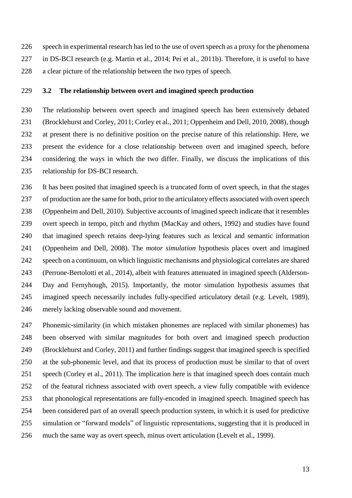speech in experimental research has led to the use of overt speech as a proxy for the phenomena

 in DS-BCI research (e.g. Martin et al., 2014; Pei et al., 2011b). Therefore, it is useful to have a clear picture of the relationship between the two types of speech.

#### **3.2 The relationship between overt and imagined speech production**

 The relationship between overt speech and imagined speech has been extensively debated (Brocklehurst and Corley, 2011; Corley et al., 2011; Oppenheim and Dell, 2010, 2008), though at present there is no definitive position on the precise nature of this relationship. Here, we present the evidence for a close relationship between overt and imagined speech, before considering the ways in which the two differ. Finally, we discuss the implications of this relationship for DS-BCI research.

 It has been posited that imagined speech is a truncated form of overt speech, in that the stages of production are the same for both, prior to the articulatory effects associated with overt speech (Oppenheim and Dell, 2010). Subjective accounts of imagined speech indicate that it resembles overt speech in tempo, pitch and rhythm (MacKay and others, 1992) and studies have found that imagined speech retains deep-lying features such as lexical and semantic information (Oppenheim and Dell, 2008). The *motor simulation* hypothesis places overt and imagined speech on a continuum, on which linguistic mechanisms and physiological correlates are shared (Perrone-Bertolotti et al., 2014), albeit with features attenuated in imagined speech (Alderson- Day and Fernyhough, 2015). Importantly, the motor simulation hypothesis assumes that imagined speech necessarily includes fully-specified articulatory detail (e.g. Levelt, 1989), merely lacking observable sound and movement.

 Phonemic-similarity (in which mistaken phonemes are replaced with similar phonemes) has been observed with similar magnitudes for both overt and imagined speech production (Brocklehurst and Corley, 2011) and further findings suggest that imagined speech is specified at the sub-phonemic level, and that its process of production must be similar to that of overt speech (Corley et al., 2011). The implication here is that imagined speech does contain much of the featural richness associated with overt speech, a view fully compatible with evidence that phonological representations are fully-encoded in imagined speech. Imagined speech has been considered part of an overall speech production system, in which it is used for predictive simulation or "forward models" of linguistic representations, suggesting that it is produced in much the same way as overt speech, minus overt articulation (Levelt et al., 1999).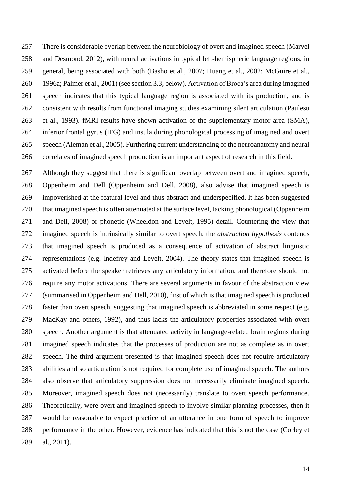There is considerable overlap between the neurobiology of overt and imagined speech (Marvel and Desmond, 2012), with neural activations in typical left-hemispheric language regions, in general, being associated with both (Basho et al., 2007; Huang et al., 2002; McGuire et al., 1996a; Palmer et al., 2001) (see section 3.3, below). Activation of Broca's area during imagined speech indicates that this typical language region is associated with its production, and is consistent with results from functional imaging studies examining silent articulation (Paulesu et al., 1993). fMRI results have shown activation of the supplementary motor area (SMA), inferior frontal gyrus (IFG) and insula during phonological processing of imagined and overt speech (Aleman et al., 2005). Furthering current understanding of the neuroanatomy and neural correlates of imagined speech production is an important aspect of research in this field.

 Although they suggest that there is significant overlap between overt and imagined speech, Oppenheim and Dell (Oppenheim and Dell, 2008), also advise that imagined speech is impoverished at the featural level and thus abstract and underspecified. It has been suggested that imagined speech is often attenuated at the surface level, lacking phonological (Oppenheim and Dell, 2008) or phonetic (Wheeldon and Levelt, 1995) detail. Countering the view that imagined speech is intrinsically similar to overt speech, the *abstraction hypothesis* contends that imagined speech is produced as a consequence of activation of abstract linguistic representations (e.g. Indefrey and Levelt, 2004). The theory states that imagined speech is activated before the speaker retrieves any articulatory information, and therefore should not require any motor activations. There are several arguments in favour of the abstraction view (summarised in Oppenheim and Dell, 2010), first of which is that imagined speech is produced faster than overt speech, suggesting that imagined speech is abbreviated in some respect (e.g. MacKay and others, 1992), and thus lacks the articulatory properties associated with overt speech. Another argument is that attenuated activity in language-related brain regions during imagined speech indicates that the processes of production are not as complete as in overt speech. The third argument presented is that imagined speech does not require articulatory abilities and so articulation is not required for complete use of imagined speech. The authors also observe that articulatory suppression does not necessarily eliminate imagined speech. Moreover, imagined speech does not (necessarily) translate to overt speech performance. Theoretically, were overt and imagined speech to involve similar planning processes, then it would be reasonable to expect practice of an utterance in one form of speech to improve performance in the other. However, evidence has indicated that this is not the case (Corley et al., 2011).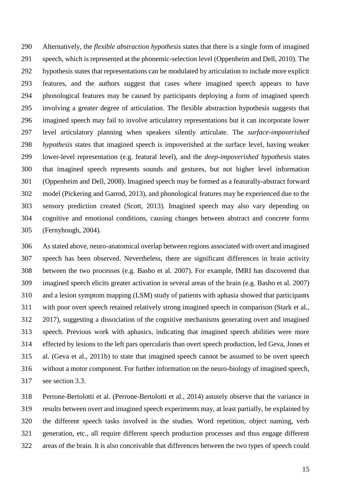Alternatively, the *flexible abstraction hypothesis* states that there is a single form of imagined speech, which is represented at the phonemic-selection level (Oppenheim and Dell, 2010). The hypothesis states that representations can be modulated by articulation to include more explicit features, and the authors suggest that cases where imagined speech appears to have phonological features may be caused by participants deploying a form of imagined speech involving a greater degree of articulation. The flexible abstraction hypothesis suggests that imagined speech may fail to involve articulatory representations but it can incorporate lower level articulatory planning when speakers silently articulate. The *surface-impoverished hypothesis* states that imagined speech is impoverished at the surface level, having weaker lower-level representation (e.g. featural level), and the *deep-impoverished hypothesis* states that imagined speech represents sounds and gestures, but not higher level information (Oppenheim and Dell, 2008). Imagined speech may be formed as a featurally-abstract forward model (Pickering and Garrod, 2013), and phonological features may be experienced due to the sensory prediction created (Scott, 2013). Imagined speech may also vary depending on cognitive and emotional conditions, causing changes between abstract and concrete forms (Fernyhough, 2004).

 As stated above, neuro-anatomical overlap between regions associated with overt and imagined speech has been observed. Nevertheless, there are significant differences in brain activity between the two processes (e.g. Basho et al. 2007). For example, fMRI has discovered that imagined speech elicits greater activation in several areas of the brain (e.g. Basho et al. 2007) and a lesion symptom mapping (LSM) study of patients with aphasia showed that participants with poor overt speech retained relatively strong imagined speech in comparison (Stark et al., 2017), suggesting a dissociation of the cognitive mechanisms generating overt and imagined speech. Previous work with aphasics, indicating that imagined speech abilities were more effected by lesions to the left pars opercularis than overt speech production, led Geva, Jones et al. (Geva et al., 2011b) to state that imagined speech cannot be assumed to be overt speech without a motor component. For further information on the neuro-biology of imagined speech, see section 3.3.

 Perrone-Bertolotti et al. (Perrone-Bertolotti et al., 2014) astutely observe that the variance in results between overt and imagined speech experiments may, at least partially, be explained by the different speech tasks involved in the studies. Word repetition, object naming, verb generation, etc., all require different speech production processes and thus engage different areas of the brain. It is also conceivable that differences between the two types of speech could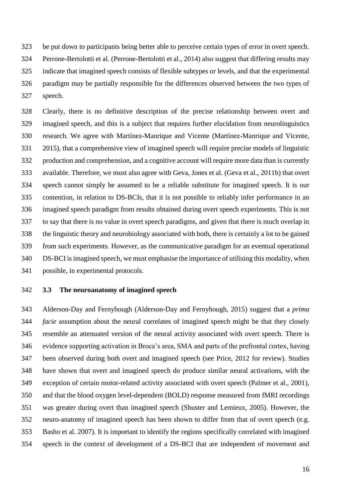be put down to participants being better able to perceive certain types of error in overt speech. Perrone-Bertolotti et al. (Perrone-Bertolotti et al., 2014) also suggest that differing results may indicate that imagined speech consists of flexible subtypes or levels, and that the experimental paradigm may be partially responsible for the differences observed between the two types of speech.

 Clearly, there is no definitive description of the precise relationship between overt and imagined speech, and this is a subject that requires further elucidation from neurolinguistics research. We agree with Martínez-Manrique and Vicente (Martínez-Manrique and Vicente, 2015), that a comprehensive view of imagined speech will require precise models of linguistic production and comprehension, and a cognitive account will require more data than is currently available. Therefore, we must also agree with Geva, Jones et al. (Geva et al., 2011b) that overt speech cannot simply be assumed to be a reliable substitute for imagined speech. It is our contention, in relation to DS-BCIs, that it is not possible to reliably infer performance in an imagined speech paradigm from results obtained during overt speech experiments. This is not to say that there is no value in overt speech paradigms, and given that there is much overlap in the linguistic theory and neurobiology associated with both, there is certainly a lot to be gained from such experiments. However, as the communicative paradigm for an eventual operational DS-BCI is imagined speech, we must emphasise the importance of utilising this modality, when possible, in experimental protocols.

**3.3 The neuroanatomy of imagined speech**

 Alderson-Day and Fernyhough (Alderson-Day and Fernyhough, 2015) suggest that a *prima facie* assumption about the neural correlates of imagined speech might be that they closely resemble an attenuated version of the neural activity associated with overt speech. There is evidence supporting activation in Broca's area, SMA and parts of the prefrontal cortex, having been observed during both overt and imagined speech (see Price, 2012 for review). Studies have shown that overt and imagined speech do produce similar neural activations, with the exception of certain motor-related activity associated with overt speech (Palmer et al., 2001), and that the blood oxygen level-dependent (BOLD) response measured from fMRI recordings was greater during overt than imagined speech (Shuster and Lemieux, 2005). However, the neuro-anatomy of imagined speech has been shown to differ from that of overt speech (e.g. Basho et al. 2007). It is important to identify the regions specifically correlated with imagined speech in the context of development of a DS-BCI that are independent of movement and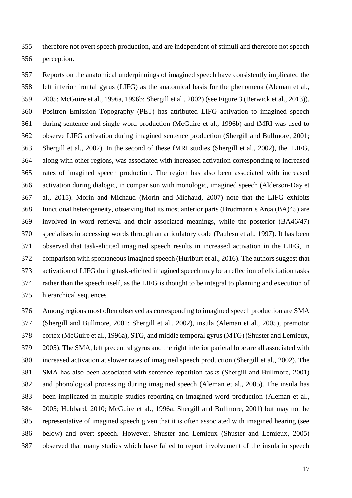therefore not overt speech production, and are independent of stimuli and therefore not speech perception.

 Reports on the anatomical underpinnings of imagined speech have consistently implicated the left inferior frontal gyrus (LIFG) as the anatomical basis for the phenomena (Aleman et al., 2005; McGuire et al., 1996a, 1996b; Shergill et al., 2002) (see Figure 3 (Berwick et al., 2013)). Positron Emission Topography (PET) has attributed LIFG activation to imagined speech during sentence and single-word production (McGuire et al., 1996b) and fMRI was used to observe LIFG activation during imagined sentence production (Shergill and Bullmore, 2001; Shergill et al., 2002). In the second of these fMRI studies (Shergill et al., 2002), the LIFG, along with other regions, was associated with increased activation corresponding to increased rates of imagined speech production. The region has also been associated with increased activation during dialogic, in comparison with monologic, imagined speech (Alderson-Day et al., 2015). Morin and Michaud (Morin and Michaud, 2007) note that the LIFG exhibits functional heterogeneity, observing that its most anterior parts (Brodmann's Area (BA)45) are involved in word retrieval and their associated meanings, while the posterior (BA46/47) specialises in accessing words through an articulatory code (Paulesu et al., 1997). It has been observed that task-elicited imagined speech results in increased activation in the LIFG, in comparison with spontaneous imagined speech (Hurlburt et al., 2016). The authors suggest that activation of LIFG during task-elicited imagined speech may be a reflection of elicitation tasks rather than the speech itself, as the LIFG is thought to be integral to planning and execution of hierarchical sequences.

 Among regions most often observed as corresponding to imagined speech production are SMA (Shergill and Bullmore, 2001; Shergill et al., 2002), insula (Aleman et al., 2005), premotor cortex (McGuire et al., 1996a), STG, and middle temporal gyrus (MTG) (Shuster and Lemieux, 2005). The SMA, left precentral gyrus and the right inferior parietal lobe are all associated with increased activation at slower rates of imagined speech production (Shergill et al., 2002). The SMA has also been associated with sentence-repetition tasks (Shergill and Bullmore, 2001) and phonological processing during imagined speech (Aleman et al., 2005). The insula has been implicated in multiple studies reporting on imagined word production (Aleman et al., 2005; Hubbard, 2010; McGuire et al., 1996a; Shergill and Bullmore, 2001) but may not be representative of imagined speech given that it is often associated with imagined hearing (see below) and overt speech. However, Shuster and Lemieux (Shuster and Lemieux, 2005) observed that many studies which have failed to report involvement of the insula in speech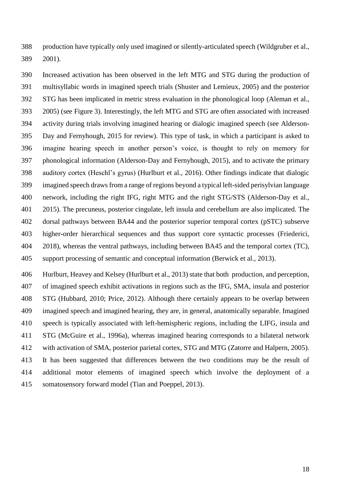production have typically only used imagined or silently-articulated speech (Wildgruber et al., 2001).

 Increased activation has been observed in the left MTG and STG during the production of multisyllabic words in imagined speech trials (Shuster and Lemieux, 2005) and the posterior STG has been implicated in metric stress evaluation in the phonological loop (Aleman et al., 2005) (see Figure 3). Interestingly, the left MTG and STG are often associated with increased activity during trials involving imagined hearing or dialogic imagined speech (see Alderson- Day and Fernyhough, 2015 for review). This type of task, in which a participant is asked to imagine hearing speech in another person's voice, is thought to rely on memory for phonological information (Alderson-Day and Fernyhough, 2015), and to activate the primary auditory cortex (Heschl's gyrus) (Hurlburt et al., 2016). Other findings indicate that dialogic imagined speech draws from a range of regions beyond a typical left-sided perisylvian language network, including the right IFG, right MTG and the right STG/STS (Alderson-Day et al., 2015). The precuneus, posterior cingulate, left insula and cerebellum are also implicated. The dorsal pathways between BA44 and the posterior superior temporal cortex (pSTC) subserve higher-order hierarchical sequences and thus support core syntactic processes (Friederici, 404 2018), whereas the ventral pathways, including between BA45 and the temporal cortex (TC), support processing of semantic and conceptual information (Berwick et al., 2013).

 Hurlburt, Heavey and Kelsey (Hurlburt et al., 2013) state that both production, and perception, of imagined speech exhibit activations in regions such as the IFG, SMA, insula and posterior STG (Hubbard, 2010; Price, 2012). Although there certainly appears to be overlap between imagined speech and imagined hearing, they are, in general, anatomically separable. Imagined speech is typically associated with left-hemispheric regions, including the LIFG, insula and STG (McGuire et al., 1996a), whereas imagined hearing corresponds to a bilateral network with activation of SMA, posterior parietal cortex, STG and MTG (Zatorre and Halpern, 2005). It has been suggested that differences between the two conditions may be the result of additional motor elements of imagined speech which involve the deployment of a somatosensory forward model (Tian and Poeppel, 2013).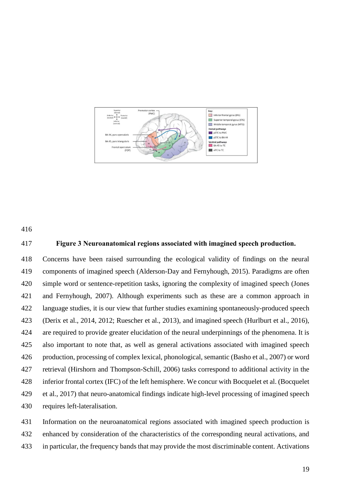



#### **Figure 3 Neuroanatomical regions associated with imagined speech production.**

 Concerns have been raised surrounding the ecological validity of findings on the neural components of imagined speech (Alderson-Day and Fernyhough, 2015). Paradigms are often simple word or sentence-repetition tasks, ignoring the complexity of imagined speech (Jones and Fernyhough, 2007). Although experiments such as these are a common approach in language studies, it is our view that further studies examining spontaneously-produced speech (Derix et al., 2014, 2012; Ruescher et al., 2013), and imagined speech (Hurlburt et al., 2016), are required to provide greater elucidation of the neural underpinnings of the phenomena. It is also important to note that, as well as general activations associated with imagined speech production, processing of complex lexical, phonological, semantic (Basho et al., 2007) or word retrieval (Hirshorn and Thompson-Schill, 2006) tasks correspond to additional activity in the inferior frontal cortex (IFC) of the left hemisphere. We concur with Bocquelet et al. (Bocquelet et al., 2017) that neuro-anatomical findings indicate high-level processing of imagined speech requires left-lateralisation.

 Information on the neuroanatomical regions associated with imagined speech production is enhanced by consideration of the characteristics of the corresponding neural activations, and in particular, the frequency bands that may provide the most discriminable content. Activations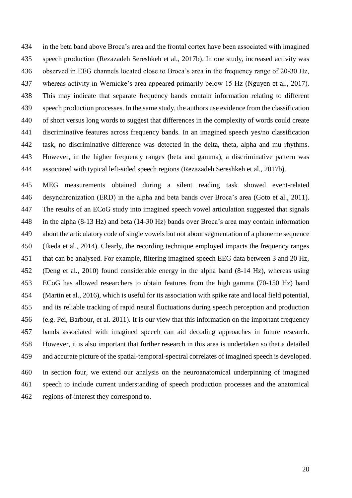in the beta band above Broca's area and the frontal cortex have been associated with imagined speech production (Rezazadeh Sereshkeh et al., 2017b). In one study, increased activity was observed in EEG channels located close to Broca's area in the frequency range of 20-30 Hz, whereas activity in Wernicke's area appeared primarily below 15 Hz (Nguyen et al., 2017). This may indicate that separate frequency bands contain information relating to different speech production processes. In the same study, the authors use evidence from the classification of short versus long words to suggest that differences in the complexity of words could create discriminative features across frequency bands. In an imagined speech yes/no classification task, no discriminative difference was detected in the delta, theta, alpha and mu rhythms. However, in the higher frequency ranges (beta and gamma), a discriminative pattern was associated with typical left-sided speech regions (Rezazadeh Sereshkeh et al., 2017b).

 MEG measurements obtained during a silent reading task showed event-related desynchronization (ERD) in the alpha and beta bands over Broca's area (Goto et al., 2011). The results of an ECoG study into imagined speech vowel articulation suggested that signals in the alpha (8-13 Hz) and beta (14-30 Hz) bands over Broca's area may contain information about the articulatory code of single vowels but not about segmentation of a phoneme sequence (Ikeda et al., 2014). Clearly, the recording technique employed impacts the frequency ranges that can be analysed. For example, filtering imagined speech EEG data between 3 and 20 Hz, (Deng et al., 2010) found considerable energy in the alpha band (8-14 Hz), whereas using ECoG has allowed researchers to obtain features from the high gamma (70-150 Hz) band (Martin et al., 2016), which is useful for its association with spike rate and local field potential, and its reliable tracking of rapid neural fluctuations during speech perception and production (e.g. Pei, Barbour, et al. 2011). It is our view that this information on the important frequency bands associated with imagined speech can aid decoding approaches in future research. However, it is also important that further research in this area is undertaken so that a detailed and accurate picture of the spatial-temporal-spectral correlates of imagined speech is developed. In section four, we extend our analysis on the neuroanatomical underpinning of imagined speech to include current understanding of speech production processes and the anatomical

regions-of-interest they correspond to.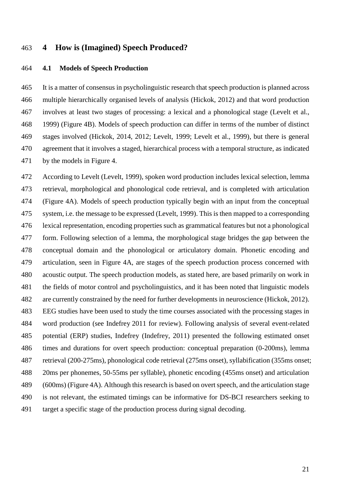#### **4 How is (Imagined) Speech Produced?**

#### **4.1 Models of Speech Production**

 It is a matter of consensus in psycholinguistic research that speech production is planned across multiple hierarchically organised levels of analysis (Hickok, 2012) and that word production involves at least two stages of processing: a lexical and a phonological stage (Levelt et al., 1999) (Figure 4B). Models of speech production can differ in terms of the number of distinct stages involved (Hickok, 2014, 2012; Levelt, 1999; Levelt et al., 1999), but there is general agreement that it involves a staged, hierarchical process with a temporal structure, as indicated by the models in Figure 4.

 According to Levelt (Levelt, 1999)*,* spoken word production includes lexical selection, lemma retrieval, morphological and phonological code retrieval, and is completed with articulation (Figure 4A). Models of speech production typically begin with an input from the conceptual system, i.e. the message to be expressed (Levelt, 1999). This is then mapped to a corresponding lexical representation, encoding properties such as grammatical features but not a phonological form. Following selection of a lemma, the morphological stage bridges the gap between the conceptual domain and the phonological or articulatory domain. Phonetic encoding and articulation, seen in Figure 4A, are stages of the speech production process concerned with acoustic output. The speech production models, as stated here, are based primarily on work in the fields of motor control and psycholinguistics, and it has been noted that linguistic models are currently constrained by the need for further developments in neuroscience (Hickok, 2012). EEG studies have been used to study the time courses associated with the processing stages in word production (see Indefrey 2011 for review). Following analysis of several event-related potential (ERP) studies, Indefrey (Indefrey, 2011) presented the following estimated onset times and durations for overt speech production: conceptual preparation (0-200ms), lemma retrieval (200-275ms), phonological code retrieval (275ms onset), syllabification (355ms onset; 20ms per phonemes, 50-55ms per syllable), phonetic encoding (455ms onset) and articulation (600ms) (Figure 4A). Although this research is based on overt speech, and the articulation stage is not relevant, the estimated timings can be informative for DS-BCI researchers seeking to target a specific stage of the production process during signal decoding.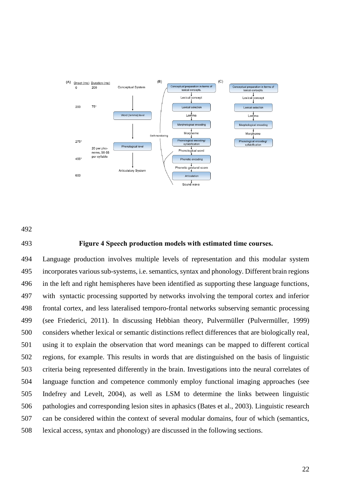

#### **Figure 4 Speech production models with estimated time courses.**

 Language production involves multiple levels of representation and this modular system incorporates various sub-systems, i.e. semantics, syntax and phonology. Different brain regions in the left and right hemispheres have been identified as supporting these language functions, with syntactic processing supported by networks involving the temporal cortex and inferior frontal cortex, and less lateralised temporo-frontal networks subserving semantic processing (see Friederici, 2011). In discussing Hebbian theory, Pulvermüller (Pulvermüller, 1999) considers whether lexical or semantic distinctions reflect differences that are biologically real, using it to explain the observation that word meanings can be mapped to different cortical regions, for example. This results in words that are distinguished on the basis of linguistic criteria being represented differently in the brain. Investigations into the neural correlates of language function and competence commonly employ functional imaging approaches (see Indefrey and Levelt, 2004), as well as LSM to determine the links between linguistic pathologies and corresponding lesion sites in aphasics (Bates et al., 2003). Linguistic research can be considered within the context of several modular domains, four of which (semantics, lexical access, syntax and phonology) are discussed in the following sections.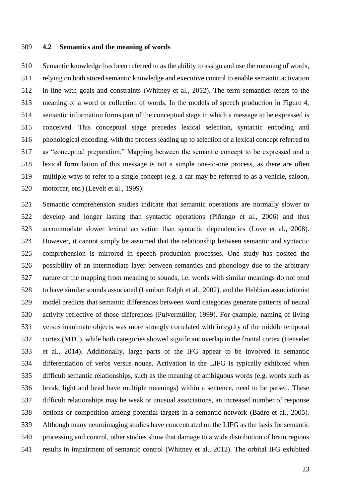#### **4.2 Semantics and the meaning of words**

 Semantic knowledge has been referred to as the ability to assign and use the meaning of words, relying on both stored semantic knowledge and executive control to enable semantic activation in line with goals and constraints (Whitney et al., 2012). The term semantics refers to the meaning of a word or collection of words. In the models of speech production in Figure 4, semantic information forms part of the conceptual stage in which a message to be expressed is conceived. This conceptual stage precedes lexical selection, syntactic encoding and phonological encoding, with the process leading up to selection of a lexical concept referred to as "conceptual preparation." Mapping between the semantic concept to be expressed and a lexical formulation of this message is not a simple one-to-one process, as there are often multiple ways to refer to a single concept (e.g. a car may be referred to as a vehicle, saloon, motorcar, etc.) (Levelt et al., 1999).

 Semantic comprehension studies indicate that semantic operations are normally slower to develop and longer lasting than syntactic operations (Piñango et al., 2006) and thus accommodate slower lexical activation than syntactic dependencies (Love et al., 2008). However, it cannot simply be assumed that the relationship between semantic and syntactic comprehension is mirrored in speech production processes. One study has posited the possibility of an intermediate layer between semantics and phonology due to the arbitrary nature of the mapping from meaning to sounds, i.e. words with similar meanings do not tend to have similar sounds associated (Lambon Ralph et al., 2002), and the Hebbian associationist model predicts that semantic differences between word categories generate patterns of neural activity reflective of those differences (Pulvermüller, 1999). For example, naming of living versus inanimate objects was more strongly correlated with integrity of the middle temporal cortex (MTC), while both categories showed significant overlap in the frontal cortex (Henseler et al., 2014). Additionally, large parts of the IFG appear to be involved in semantic differentiation of verbs versus nouns. Activation in the LIFG is typically exhibited when difficult semantic relationships, such as the meaning of ambiguous words (e.g. words such as break, light and head have multiple meanings) within a sentence, need to be parsed. These difficult relationships may be weak or unusual associations, an increased number of response options or competition among potential targets in a semantic network (Badre et al., 2005). Although many neuroimaging studies have concentrated on the LIFG as the basis for semantic processing and control, other studies show that damage to a wide distribution of brain regions results in impairment of semantic control (Whitney et al., 2012). The orbital IFG exhibited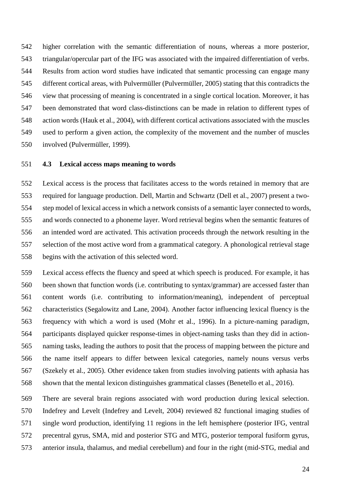higher correlation with the semantic differentiation of nouns, whereas a more posterior, triangular/opercular part of the IFG was associated with the impaired differentiation of verbs. Results from action word studies have indicated that semantic processing can engage many different cortical areas, with Pulvermüller (Pulvermüller, 2005) stating that this contradicts the view that processing of meaning is concentrated in a single cortical location. Moreover, it has been demonstrated that word class-distinctions can be made in relation to different types of action words (Hauk et al., 2004), with different cortical activations associated with the muscles used to perform a given action, the complexity of the movement and the number of muscles involved (Pulvermüller, 1999).

#### **4.3 Lexical access maps meaning to words**

 Lexical access is the process that facilitates access to the words retained in memory that are required for language production. Dell, Martin and Schwartz (Dell et al., 2007) present a two- step model of lexical access in which a network consists of a semantic layer connected to words, and words connected to a phoneme layer. Word retrieval begins when the semantic features of an intended word are activated. This activation proceeds through the network resulting in the selection of the most active word from a grammatical category. A phonological retrieval stage begins with the activation of this selected word.

 Lexical access effects the fluency and speed at which speech is produced. For example, it has been shown that function words (i.e. contributing to syntax/grammar) are accessed faster than content words (i.e. contributing to information/meaning), independent of perceptual characteristics (Segalowitz and Lane, 2004). Another factor influencing lexical fluency is the frequency with which a word is used (Mohr et al., 1996). In a picture-naming paradigm, participants displayed quicker response-times in object-naming tasks than they did in action- naming tasks, leading the authors to posit that the process of mapping between the picture and the name itself appears to differ between lexical categories, namely nouns versus verbs (Szekely et al., 2005). Other evidence taken from studies involving patients with aphasia has shown that the mental lexicon distinguishes grammatical classes (Benetello et al., 2016).

 There are several brain regions associated with word production during lexical selection. Indefrey and Levelt (Indefrey and Levelt, 2004) reviewed 82 functional imaging studies of single word production, identifying 11 regions in the left hemisphere (posterior IFG, ventral precentral gyrus, SMA, mid and posterior STG and MTG, posterior temporal fusiform gyrus, anterior insula, thalamus, and medial cerebellum) and four in the right (mid-STG, medial and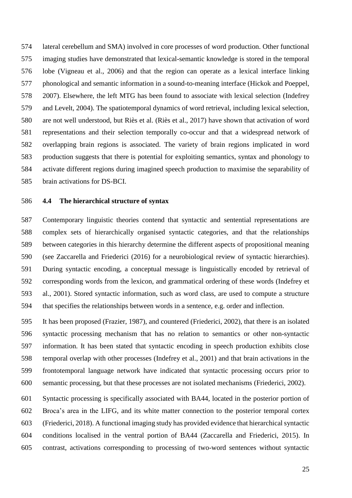lateral cerebellum and SMA) involved in core processes of word production. Other functional imaging studies have demonstrated that lexical-semantic knowledge is stored in the temporal lobe (Vigneau et al., 2006) and that the region can operate as a lexical interface linking phonological and semantic information in a sound-to-meaning interface (Hickok and Poeppel, 2007). Elsewhere, the left MTG has been found to associate with lexical selection (Indefrey and Levelt, 2004). The spatiotemporal dynamics of word retrieval, including lexical selection, are not well understood, but Riès et al. (Riès et al., 2017) have shown that activation of word representations and their selection temporally co-occur and that a widespread network of overlapping brain regions is associated. The variety of brain regions implicated in word production suggests that there is potential for exploiting semantics, syntax and phonology to activate different regions during imagined speech production to maximise the separability of brain activations for DS-BCI.

#### **4.4 The hierarchical structure of syntax**

 Contemporary linguistic theories contend that syntactic and sentential representations are complex sets of hierarchically organised syntactic categories, and that the relationships between categories in this hierarchy determine the different aspects of propositional meaning (see Zaccarella and Friederici (2016) for a neurobiological review of syntactic hierarchies). During syntactic encoding, a conceptual message is linguistically encoded by retrieval of corresponding words from the lexicon, and grammatical ordering of these words (Indefrey et al., 2001). Stored syntactic information, such as word class, are used to compute a structure that specifies the relationships between words in a sentence, e.g. order and inflection.

 It has been proposed (Frazier, 1987), and countered (Friederici, 2002), that there is an isolated syntactic processing mechanism that has no relation to semantics or other non-syntactic information. It has been stated that syntactic encoding in speech production exhibits close temporal overlap with other processes (Indefrey et al., 2001) and that brain activations in the frontotemporal language network have indicated that syntactic processing occurs prior to semantic processing, but that these processes are not isolated mechanisms (Friederici, 2002).

 Syntactic processing is specifically associated with BA44, located in the posterior portion of Broca's area in the LIFG, and its white matter connection to the posterior temporal cortex (Friederici, 2018). A functional imaging study has provided evidence that hierarchical syntactic conditions localised in the ventral portion of BA44 (Zaccarella and Friederici, 2015). In contrast, activations corresponding to processing of two-word sentences without syntactic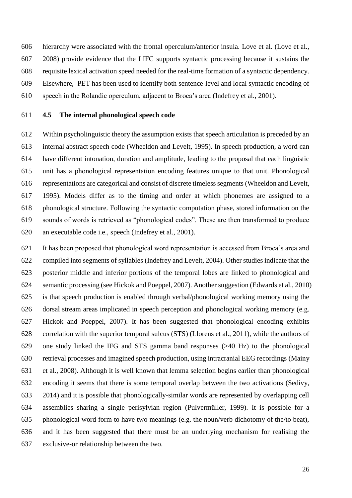hierarchy were associated with the frontal operculum/anterior insula. Love et al. (Love et al., 2008) provide evidence that the LIFC supports syntactic processing because it sustains the requisite lexical activation speed needed for the real-time formation of a syntactic dependency. Elsewhere, PET has been used to identify both sentence-level and local syntactic encoding of

speech in the Rolandic operculum, adjacent to Broca's area (Indefrey et al., 2001).

#### **4.5 The internal phonological speech code**

 Within psycholinguistic theory the assumption exists that speech articulation is preceded by an internal abstract speech code (Wheeldon and Levelt, 1995). In speech production, a word can have different intonation, duration and amplitude, leading to the proposal that each linguistic unit has a phonological representation encoding features unique to that unit. Phonological representations are categorical and consist of discrete timeless segments (Wheeldon and Levelt, 1995). Models differ as to the timing and order at which phonemes are assigned to a phonological structure. Following the syntactic computation phase, stored information on the sounds of words is retrieved as "phonological codes". These are then transformed to produce an executable code i.e., speech (Indefrey et al., 2001).

 It has been proposed that phonological word representation is accessed from Broca's area and compiled into segments of syllables (Indefrey and Levelt, 2004). Other studies indicate that the posterior middle and inferior portions of the temporal lobes are linked to phonological and semantic processing (see Hickok and Poeppel, 2007). Another suggestion (Edwards et al., 2010) is that speech production is enabled through verbal/phonological working memory using the dorsal stream areas implicated in speech perception and phonological working memory (e.g. Hickok and Poeppel, 2007). It has been suggested that phonological encoding exhibits correlation with the superior temporal sulcus (STS) (Llorens et al., 2011), while the authors of one study linked the IFG and STS gamma band responses (>40 Hz) to the phonological retrieval processes and imagined speech production, using intracranial EEG recordings (Mainy et al., 2008). Although it is well known that lemma selection begins earlier than phonological encoding it seems that there is some temporal overlap between the two activations (Sedivy, 2014) and it is possible that phonologically-similar words are represented by overlapping cell assemblies sharing a single perisylvian region (Pulvermüller, 1999). It is possible for a phonological word form to have two meanings (e.g. the noun/verb dichotomy of the/to beat), and it has been suggested that there must be an underlying mechanism for realising the exclusive-or relationship between the two.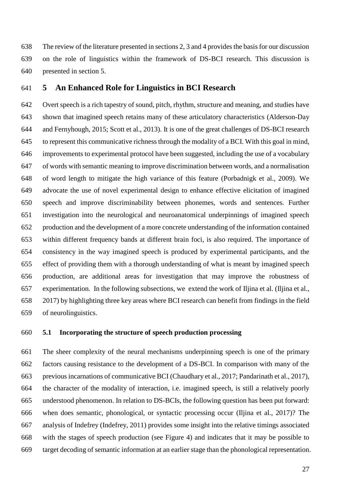The review of the literature presented in sections 2, 3 and 4 provides the basis for our discussion on the role of linguistics within the framework of DS-BCI research. This discussion is presented in section 5.

#### **5 An Enhanced Role for Linguistics in BCI Research**

 Overt speech is a rich tapestry of sound, pitch, rhythm, structure and meaning, and studies have shown that imagined speech retains many of these articulatory characteristics (Alderson-Day and Fernyhough, 2015; Scott et al., 2013). It is one of the great challenges of DS-BCI research to represent this communicative richness through the modality of a BCI. With this goal in mind, improvements to experimental protocol have been suggested, including the use of a vocabulary of words with semantic meaning to improve discrimination between words, and a normalisation of word length to mitigate the high variance of this feature (Porbadnigk et al., 2009). We advocate the use of novel experimental design to enhance effective elicitation of imagined speech and improve discriminability between phonemes, words and sentences. Further investigation into the neurological and neuroanatomical underpinnings of imagined speech production and the development of a more concrete understanding of the information contained within different frequency bands at different brain foci, is also required. The importance of consistency in the way imagined speech is produced by experimental participants, and the effect of providing them with a thorough understanding of what is meant by imagined speech production, are additional areas for investigation that may improve the robustness of experimentation. In the following subsections, we extend the work of Iljina et al. (Iljina et al., 2017) by highlighting three key areas where BCI research can benefit from findings in the field of neurolinguistics.

#### **5.1 Incorporating the structure of speech production processing**

 The sheer complexity of the neural mechanisms underpinning speech is one of the primary factors causing resistance to the development of a DS-BCI. In comparison with many of the previous incarnations of communicative BCI (Chaudhary et al., 2017; Pandarinath et al., 2017), the character of the modality of interaction, i.e. imagined speech, is still a relatively poorly understood phenomenon. In relation to DS-BCIs, the following question has been put forward: when does semantic, phonological, or syntactic processing occur (Iljina et al., 2017)? The analysis of Indefrey (Indefrey, 2011) provides some insight into the relative timings associated with the stages of speech production (see Figure 4) and indicates that it may be possible to target decoding of semantic information at an earlier stage than the phonological representation.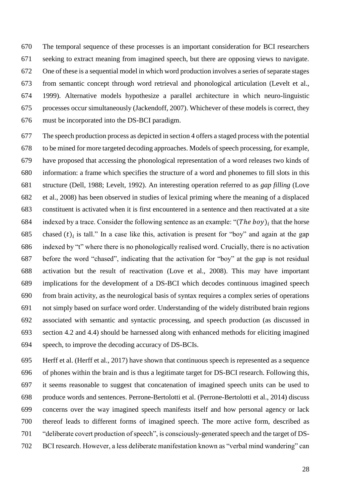The temporal sequence of these processes is an important consideration for BCI researchers seeking to extract meaning from imagined speech, but there are opposing views to navigate. One of these is a sequential model in which word production involves a series of separate stages from semantic concept through word retrieval and phonological articulation (Levelt et al., 1999). Alternative models hypothesize a parallel architecture in which neuro-linguistic processes occur simultaneously (Jackendoff, 2007). Whichever of these models is correct, they must be incorporated into the DS-BCI paradigm.

 The speech production process as depicted in section 4 offers a staged process with the potential to be mined for more targeted decoding approaches. Models of speech processing, for example, have proposed that accessing the phonological representation of a word releases two kinds of information: a frame which specifies the structure of a word and phonemes to fill slots in this structure (Dell, 1988; Levelt, 1992). An interesting operation referred to as *gap filling* (Love et al., 2008) has been observed in studies of lexical priming where the meaning of a displaced constituent is activated when it is first encountered in a sentence and then reactivated at a site 684 indexed by a trace. Consider the following sentence as an example: " $(The boy)_i$  that the horse 685 chased  $(t)$  is tall." In a case like this, activation is present for "boy" and again at the gap indexed by "t" where there is no phonologically realised word. Crucially, there is no activation before the word "chased", indicating that the activation for "boy" at the gap is not residual activation but the result of reactivation (Love et al., 2008). This may have important implications for the development of a DS-BCI which decodes continuous imagined speech from brain activity, as the neurological basis of syntax requires a complex series of operations not simply based on surface word order. Understanding of the widely distributed brain regions associated with semantic and syntactic processing, and speech production (as discussed in section 4.2 and 4.4) should be harnessed along with enhanced methods for eliciting imagined speech, to improve the decoding accuracy of DS-BCIs.

 Herff et al. (Herff et al., 2017) have shown that continuous speech is represented as a sequence of phones within the brain and is thus a legitimate target for DS-BCI research. Following this, it seems reasonable to suggest that concatenation of imagined speech units can be used to produce words and sentences. Perrone-Bertolotti et al. (Perrone-Bertolotti et al., 2014) discuss concerns over the way imagined speech manifests itself and how personal agency or lack thereof leads to different forms of imagined speech. The more active form, described as "deliberate covert production of speech", is consciously-generated speech and the target of DS-BCI research. However, a less deliberate manifestation known as "verbal mind wandering" can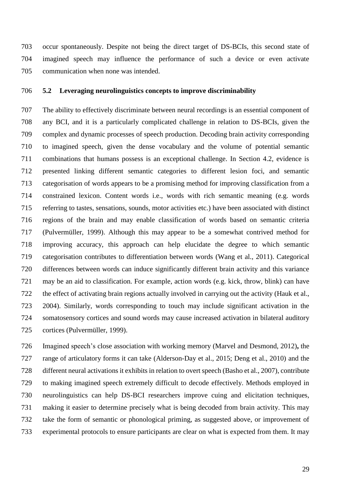occur spontaneously. Despite not being the direct target of DS-BCIs, this second state of imagined speech may influence the performance of such a device or even activate communication when none was intended.

#### **5.2 Leveraging neurolinguistics concepts to improve discriminability**

 The ability to effectively discriminate between neural recordings is an essential component of any BCI, and it is a particularly complicated challenge in relation to DS-BCIs, given the complex and dynamic processes of speech production. Decoding brain activity corresponding to imagined speech, given the dense vocabulary and the volume of potential semantic combinations that humans possess is an exceptional challenge. In Section 4.2, evidence is presented linking different semantic categories to different lesion foci, and semantic categorisation of words appears to be a promising method for improving classification from a constrained lexicon. Content words i.e., words with rich semantic meaning (e.g. words referring to tastes, sensations, sounds, motor activities etc.) have been associated with distinct regions of the brain and may enable classification of words based on semantic criteria (Pulvermüller, 1999). Although this may appear to be a somewhat contrived method for improving accuracy, this approach can help elucidate the degree to which semantic categorisation contributes to differentiation between words (Wang et al., 2011). Categorical differences between words can induce significantly different brain activity and this variance may be an aid to classification. For example, action words (e.g. kick, throw, blink) can have the effect of activating brain regions actually involved in carrying out the activity (Hauk et al., 2004). Similarly, words corresponding to touch may include significant activation in the somatosensory cortices and sound words may cause increased activation in bilateral auditory cortices (Pulvermüller, 1999).

 Imagined speech's close association with working memory (Marvel and Desmond, 2012)**,** the range of articulatory forms it can take (Alderson-Day et al., 2015; Deng et al., 2010) and the different neural activations it exhibits in relation to overt speech (Basho et al., 2007), contribute to making imagined speech extremely difficult to decode effectively. Methods employed in neurolinguistics can help DS-BCI researchers improve cuing and elicitation techniques, making it easier to determine precisely what is being decoded from brain activity. This may take the form of semantic or phonological priming, as suggested above, or improvement of experimental protocols to ensure participants are clear on what is expected from them. It may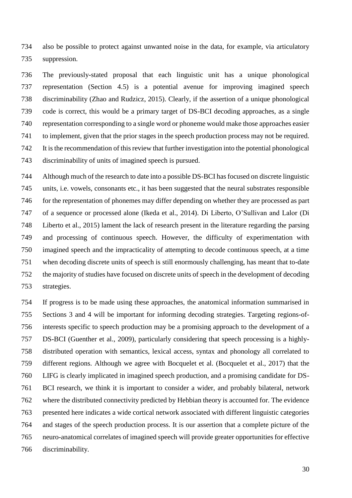also be possible to protect against unwanted noise in the data, for example, via articulatory suppression.

 The previously-stated proposal that each linguistic unit has a unique phonological representation (Section 4.5) is a potential avenue for improving imagined speech discriminability (Zhao and Rudzicz, 2015). Clearly, if the assertion of a unique phonological code is correct, this would be a primary target of DS-BCI decoding approaches, as a single representation corresponding to a single word or phoneme would make those approaches easier to implement, given that the prior stages in the speech production process may not be required. It is the recommendation of this review that further investigation into the potential phonological discriminability of units of imagined speech is pursued.

 Although much of the research to date into a possible DS-BCI has focused on discrete linguistic units, i.e. vowels, consonants etc., it has been suggested that the neural substrates responsible for the representation of phonemes may differ depending on whether they are processed as part of a sequence or processed alone (Ikeda et al., 2014). Di Liberto, O'Sullivan and Lalor (Di Liberto et al., 2015) lament the lack of research present in the literature regarding the parsing and processing of continuous speech. However, the difficulty of experimentation with imagined speech and the impracticality of attempting to decode continuous speech, at a time when decoding discrete units of speech is still enormously challenging, has meant that to-date the majority of studies have focused on discrete units of speech in the development of decoding strategies.

 If progress is to be made using these approaches, the anatomical information summarised in Sections 3 and 4 will be important for informing decoding strategies. Targeting regions-of- interests specific to speech production may be a promising approach to the development of a DS-BCI (Guenther et al., 2009), particularly considering that speech processing is a highly- distributed operation with semantics, lexical access, syntax and phonology all correlated to different regions. Although we agree with Bocquelet et al. (Bocquelet et al., 2017) that the LIFG is clearly implicated in imagined speech production, and a promising candidate for DS- BCI research, we think it is important to consider a wider, and probably bilateral, network where the distributed connectivity predicted by Hebbian theory is accounted for. The evidence presented here indicates a wide cortical network associated with different linguistic categories and stages of the speech production process. It is our assertion that a complete picture of the neuro-anatomical correlates of imagined speech will provide greater opportunities for effective discriminability.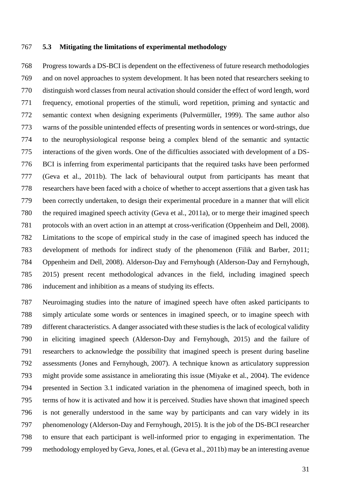#### **5.3 Mitigating the limitations of experimental methodology**

 Progress towards a DS-BCI is dependent on the effectiveness of future research methodologies and on novel approaches to system development. It has been noted that researchers seeking to distinguish word classes from neural activation should consider the effect of word length, word frequency, emotional properties of the stimuli, word repetition, priming and syntactic and semantic context when designing experiments (Pulvermüller, 1999). The same author also warns of the possible unintended effects of presenting words in sentences or word-strings, due to the neurophysiological response being a complex blend of the semantic and syntactic interactions of the given words. One of the difficulties associated with development of a DS- BCI is inferring from experimental participants that the required tasks have been performed (Geva et al., 2011b). The lack of behavioural output from participants has meant that researchers have been faced with a choice of whether to accept assertions that a given task has been correctly undertaken, to design their experimental procedure in a manner that will elicit the required imagined speech activity (Geva et al., 2011a), or to merge their imagined speech protocols with an overt action in an attempt at cross-verification (Oppenheim and Dell, 2008). Limitations to the scope of empirical study in the case of imagined speech has induced the development of methods for indirect study of the phenomenon (Filik and Barber, 2011; Oppenheim and Dell, 2008). Alderson-Day and Fernyhough (Alderson-Day and Fernyhough, 2015) present recent methodological advances in the field, including imagined speech inducement and inhibition as a means of studying its effects.

 Neuroimaging studies into the nature of imagined speech have often asked participants to simply articulate some words or sentences in imagined speech, or to imagine speech with different characteristics. A danger associated with these studies is the lack of ecological validity in eliciting imagined speech (Alderson-Day and Fernyhough, 2015) and the failure of researchers to acknowledge the possibility that imagined speech is present during baseline assessments (Jones and Fernyhough, 2007). A technique known as articulatory suppression might provide some assistance in ameliorating this issue (Miyake et al., 2004). The evidence presented in Section 3.1 indicated variation in the phenomena of imagined speech, both in terms of how it is activated and how it is perceived. Studies have shown that imagined speech is not generally understood in the same way by participants and can vary widely in its phenomenology (Alderson-Day and Fernyhough, 2015). It is the job of the DS-BCI researcher to ensure that each participant is well-informed prior to engaging in experimentation. The methodology employed by Geva, Jones, et al. (Geva et al., 2011b) may be an interesting avenue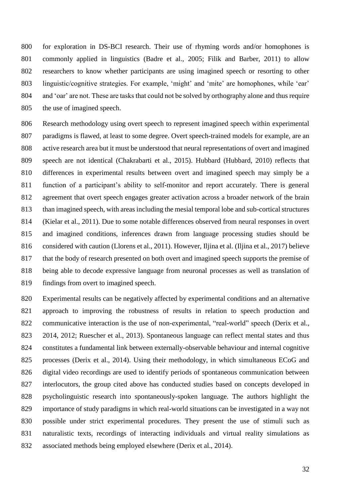for exploration in DS-BCI research. Their use of rhyming words and/or homophones is commonly applied in linguistics (Badre et al., 2005; Filik and Barber, 2011) to allow researchers to know whether participants are using imagined speech or resorting to other linguistic/cognitive strategies. For example, 'might' and 'mite' are homophones, while 'ear' and 'oar' are not. These are tasks that could not be solved by orthography alone and thus require the use of imagined speech.

 Research methodology using overt speech to represent imagined speech within experimental paradigms is flawed, at least to some degree. Overt speech-trained models for example, are an active research area but it must be understood that neural representations of overt and imagined speech are not identical (Chakrabarti et al., 2015). Hubbard (Hubbard, 2010) reflects that differences in experimental results between overt and imagined speech may simply be a function of a participant's ability to self-monitor and report accurately. There is general agreement that overt speech engages greater activation across a broader network of the brain than imagined speech, with areas including the mesial temporal lobe and sub-cortical structures (Kielar et al., 2011). Due to some notable differences observed from neural responses in overt and imagined conditions, inferences drawn from language processing studies should be considered with caution (Llorens et al., 2011). However, Iljina et al. (Iljina et al., 2017) believe that the body of research presented on both overt and imagined speech supports the premise of being able to decode expressive language from neuronal processes as well as translation of findings from overt to imagined speech.

 Experimental results can be negatively affected by experimental conditions and an alternative approach to improving the robustness of results in relation to speech production and 822 communicative interaction is the use of non-experimental, "real-world" speech (Derix et al., 2014, 2012; Ruescher et al., 2013). Spontaneous language can reflect mental states and thus constitutes a fundamental link between externally-observable behaviour and internal cognitive processes (Derix et al., 2014). Using their methodology, in which simultaneous ECoG and digital video recordings are used to identify periods of spontaneous communication between interlocutors, the group cited above has conducted studies based on concepts developed in psycholinguistic research into spontaneously-spoken language. The authors highlight the importance of study paradigms in which real-world situations can be investigated in a way not possible under strict experimental procedures. They present the use of stimuli such as naturalistic texts, recordings of interacting individuals and virtual reality simulations as associated methods being employed elsewhere (Derix et al., 2014).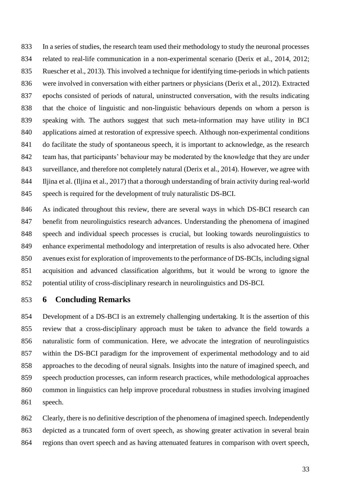In a series of studies, the research team used their methodology to study the neuronal processes related to real-life communication in a non-experimental scenario (Derix et al., 2014, 2012; Ruescher et al., 2013)*.* This involved a technique for identifying time-periods in which patients were involved in conversation with either partners or physicians (Derix et al., 2012). Extracted epochs consisted of periods of natural, uninstructed conversation, with the results indicating that the choice of linguistic and non-linguistic behaviours depends on whom a person is speaking with. The authors suggest that such meta-information may have utility in BCI applications aimed at restoration of expressive speech. Although non-experimental conditions do facilitate the study of spontaneous speech, it is important to acknowledge, as the research 842 team has, that participants' behaviour may be moderated by the knowledge that they are under surveillance, and therefore not completely natural (Derix et al., 2014). However, we agree with Iljina et al. (Iljina et al., 2017) that a thorough understanding of brain activity during real-world speech is required for the development of truly naturalistic DS-BCI.

 As indicated throughout this review, there are several ways in which DS-BCI research can benefit from neurolinguistics research advances. Understanding the phenomena of imagined speech and individual speech processes is crucial, but looking towards neurolinguistics to enhance experimental methodology and interpretation of results is also advocated here. Other avenues exist for exploration of improvements to the performance of DS-BCIs, including signal acquisition and advanced classification algorithms, but it would be wrong to ignore the potential utility of cross-disciplinary research in neurolinguistics and DS-BCI.

**6 Concluding Remarks**

 Development of a DS-BCI is an extremely challenging undertaking. It is the assertion of this review that a cross-disciplinary approach must be taken to advance the field towards a naturalistic form of communication. Here, we advocate the integration of neurolinguistics within the DS-BCI paradigm for the improvement of experimental methodology and to aid approaches to the decoding of neural signals. Insights into the nature of imagined speech, and speech production processes, can inform research practices, while methodological approaches common in linguistics can help improve procedural robustness in studies involving imagined speech.

 Clearly, there is no definitive description of the phenomena of imagined speech. Independently depicted as a truncated form of overt speech, as showing greater activation in several brain regions than overt speech and as having attenuated features in comparison with overt speech,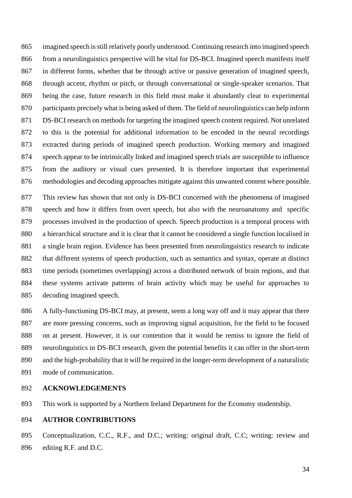imagined speech is still relatively poorly understood. Continuing research into imagined speech from a neurolinguistics perspective will be vital for DS-BCI. Imagined speech manifests itself in different forms, whether that be through active or passive generation of imagined speech, through accent, rhythm or pitch, or through conversational or single-speaker scenarios. That being the case, future research in this field must make it abundantly clear to experimental participants precisely what is being asked of them. The field of neurolinguistics can help inform DS-BCI research on methods for targeting the imagined speech content required. Not unrelated to this is the potential for additional information to be encoded in the neural recordings extracted during periods of imagined speech production. Working memory and imagined speech appear to be intrinsically linked and imagined speech trials are susceptible to influence from the auditory or visual cues presented. It is therefore important that experimental methodologies and decoding approaches mitigate against this unwanted content where possible.

 This review has shown that not only is DS-BCI concerned with the phenomena of imagined speech and how it differs from overt speech, but also with the neuroanatomy and specific processes involved in the production of speech. Speech production is a temporal process with a hierarchical structure and it is clear that it cannot be considered a single function localised in a single brain region. Evidence has been presented from neurolinguistics research to indicate that different systems of speech production, such as semantics and syntax, operate at distinct time periods (sometimes overlapping) across a distributed network of brain regions, and that these systems activate patterns of brain activity which may be useful for approaches to decoding imagined speech.

 A fully-functioning DS-BCI may, at present, seem a long way off and it may appear that there are more pressing concerns, such as improving signal acquisition, for the field to be focused on at present. However, it is our contention that it would be remiss to ignore the field of neurolinguistics in DS-BCI research, given the potential benefits it can offer in the short-term and the high-probability that it will be required in the longer-term development of a naturalistic mode of communication.

#### **ACKNOWLEDGEMENTS**

This work is supported by a Northern Ireland Department for the Economy studentship.

#### **AUTHOR CONTRIBUTIONS**

 Conceptualization, C.C., R.F., and D.C.; writing: original draft, C.C; writing: review and editing R.F. and D.C.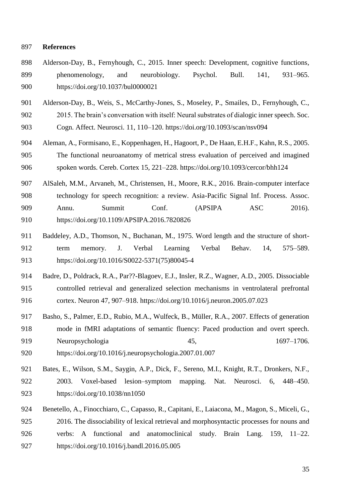#### **References**

- Alderson-Day, B., Fernyhough, C., 2015. Inner speech: Development, cognitive functions, phenomenology, and neurobiology. Psychol. Bull. 141, 931–965. https://doi.org/10.1037/bul0000021
- Alderson-Day, B., Weis, S., McCarthy-Jones, S., Moseley, P., Smailes, D., Fernyhough, C.,
- 2015. The brain's conversation with itself: Neural substrates of dialogic inner speech. Soc. Cogn. Affect. Neurosci. 11, 110–120. https://doi.org/10.1093/scan/nsv094
- Aleman, A., Formisano, E., Koppenhagen, H., Hagoort, P., De Haan, E.H.F., Kahn, R.S., 2005. The functional neuroanatomy of metrical stress evaluation of perceived and imagined spoken words. Cereb. Cortex 15, 221–228. https://doi.org/10.1093/cercor/bhh124
- AlSaleh, M.M., Arvaneh, M., Christensen, H., Moore, R.K., 2016. Brain-computer interface technology for speech recognition: a review. Asia-Pacific Signal Inf. Process. Assoc. Annu. Summit Conf. (APSIPA ASC 2016). https://doi.org/10.1109/APSIPA.2016.7820826
- Baddeley, A.D., Thomson, N., Buchanan, M., 1975. Word length and the structure of short- term memory. J. Verbal Learning Verbal Behav. 14, 575–589. https://doi.org/10.1016/S0022-5371(75)80045-4
- Badre, D., Poldrack, R.A., Par??-Blagoev, E.J., Insler, R.Z., Wagner, A.D., 2005. Dissociable controlled retrieval and generalized selection mechanisms in ventrolateral prefrontal cortex. Neuron 47, 907–918. https://doi.org/10.1016/j.neuron.2005.07.023
- Basho, S., Palmer, E.D., Rubio, M.A., Wulfeck, B., Müller, R.A., 2007. Effects of generation mode in fMRI adaptations of semantic fluency: Paced production and overt speech. Neuropsychologia 45, 1697–1706. https://doi.org/10.1016/j.neuropsychologia.2007.01.007
- Bates, E., Wilson, S.M., Saygin, A.P., Dick, F., Sereno, M.I., Knight, R.T., Dronkers, N.F., 2003. Voxel-based lesion–symptom mapping. Nat. Neurosci. 6, 448–450.
- https://doi.org/10.1038/nn1050
- Benetello, A., Finocchiaro, C., Capasso, R., Capitani, E., Laiacona, M., Magon, S., Miceli, G., 2016. The dissociability of lexical retrieval and morphosyntactic processes for nouns and verbs: A functional and anatomoclinical study. Brain Lang. 159, 11–22. https://doi.org/10.1016/j.bandl.2016.05.005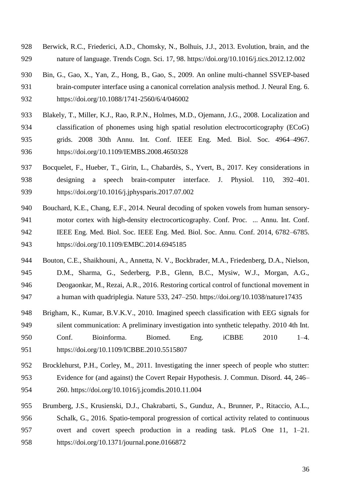- Berwick, R.C., Friederici, A.D., Chomsky, N., Bolhuis, J.J., 2013. Evolution, brain, and the nature of language. Trends Cogn. Sci. 17, 98. https://doi.org/10.1016/j.tics.2012.12.002
- Bin, G., Gao, X., Yan, Z., Hong, B., Gao, S., 2009. An online multi-channel SSVEP-based brain-computer interface using a canonical correlation analysis method. J. Neural Eng. 6. https://doi.org/10.1088/1741-2560/6/4/046002
- Blakely, T., Miller, K.J., Rao, R.P.N., Holmes, M.D., Ojemann, J.G., 2008. Localization and classification of phonemes using high spatial resolution electrocorticography (ECoG) grids. 2008 30th Annu. Int. Conf. IEEE Eng. Med. Biol. Soc. 4964–4967. https://doi.org/10.1109/IEMBS.2008.4650328
- Bocquelet, F., Hueber, T., Girin, L., Chabardès, S., Yvert, B., 2017. Key considerations in designing a speech brain-computer interface. J. Physiol. 110, 392–401. https://doi.org/10.1016/j.jphysparis.2017.07.002
- Bouchard, K.E., Chang, E.F., 2014. Neural decoding of spoken vowels from human sensory- motor cortex with high-density electrocorticography. Conf. Proc. ... Annu. Int. Conf. IEEE Eng. Med. Biol. Soc. IEEE Eng. Med. Biol. Soc. Annu. Conf. 2014, 6782–6785. https://doi.org/10.1109/EMBC.2014.6945185
- Bouton, C.E., Shaikhouni, A., Annetta, N. V., Bockbrader, M.A., Friedenberg, D.A., Nielson, D.M., Sharma, G., Sederberg, P.B., Glenn, B.C., Mysiw, W.J., Morgan, A.G., Deogaonkar, M., Rezai, A.R., 2016. Restoring cortical control of functional movement in a human with quadriplegia. Nature 533, 247–250. https://doi.org/10.1038/nature17435
- Brigham, K., Kumar, B.V.K.V., 2010. Imagined speech classification with EEG signals for silent communication: A preliminary investigation into synthetic telepathy. 2010 4th Int. Conf. Bioinforma. Biomed. Eng. iCBBE 2010 1–4. https://doi.org/10.1109/ICBBE.2010.5515807
- Brocklehurst, P.H., Corley, M., 2011. Investigating the inner speech of people who stutter: Evidence for (and against) the Covert Repair Hypothesis. J. Commun. Disord. 44, 246– 260. https://doi.org/10.1016/j.jcomdis.2010.11.004
- Brumberg, J.S., Krusienski, D.J., Chakrabarti, S., Gunduz, A., Brunner, P., Ritaccio, A.L., Schalk, G., 2016. Spatio-temporal progression of cortical activity related to continuous overt and covert speech production in a reading task. PLoS One 11, 1–21. https://doi.org/10.1371/journal.pone.0166872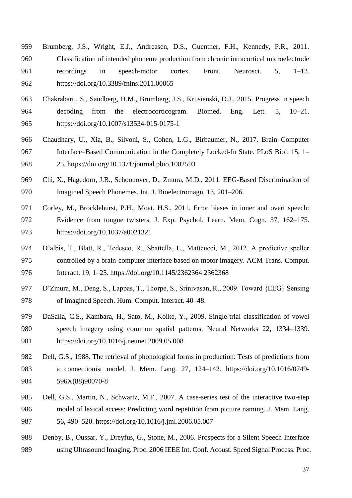- Brumberg, J.S., Wright, E.J., Andreasen, D.S., Guenther, F.H., Kennedy, P.R., 2011. Classification of intended phoneme production from chronic intracortical microelectrode recordings in speech-motor cortex. Front. Neurosci. 5, 1–12. https://doi.org/10.3389/fnins.2011.00065
- Chakrabarti, S., Sandberg, H.M., Brumberg, J.S., Krusienski, D.J., 2015. Progress in speech decoding from the electrocorticogram. Biomed. Eng. Lett. 5, 10–21. https://doi.org/10.1007/s13534-015-0175-1
- Chaudhary, U., Xia, B., Silvoni, S., Cohen, L.G., Birbaumer, N., 2017. Brain–Computer Interface–Based Communication in the Completely Locked-In State. PLoS Biol. 15, 1– 25. https://doi.org/10.1371/journal.pbio.1002593
- Chi, X., Hagedorn, J.B., Schoonover, D., Zmura, M.D., 2011. EEG-Based Discrimination of Imagined Speech Phonemes. Int. J. Bioelectromagn. 13, 201–206.
- Corley, M., Brocklehurst, P.H., Moat, H.S., 2011. Error biases in inner and overt speech: Evidence from tongue twisters. J. Exp. Psychol. Learn. Mem. Cogn. 37, 162–175. https://doi.org/10.1037/a0021321
- D'albis, T., Blatt, R., Tedesco, R., Sbattella, L., Matteucci, M., 2012. A predictive speller controlled by a brain-computer interface based on motor imagery. ACM Trans. Comput. Interact. 19, 1–25. https://doi.org/10.1145/2362364.2362368
- D'Zmura, M., Deng, S., Lappas, T., Thorpe, S., Srinivasan, R., 2009. Toward {EEG} Sensing of Imagined Speech. Hum. Comput. Interact. 40–48.
- DaSalla, C.S., Kambara, H., Sato, M., Koike, Y., 2009. Single-trial classification of vowel speech imagery using common spatial patterns. Neural Networks 22, 1334–1339. https://doi.org/10.1016/j.neunet.2009.05.008
- Dell, G.S., 1988. The retrieval of phonological forms in production: Tests of predictions from a connectionist model. J. Mem. Lang. 27, 124–142. https://doi.org/10.1016/0749- 596X(88)90070-8
- Dell, G.S., Martin, N., Schwartz, M.F., 2007. A case-series test of the interactive two-step model of lexical access: Predicting word repetition from picture naming. J. Mem. Lang. 56, 490–520. https://doi.org/10.1016/j.jml.2006.05.007
- Denby, B., Oussar, Y., Dreyfus, G., Stone, M., 2006. Prospects for a Silent Speech Interface using Ultrasound Imaging. Proc. 2006 IEEE Int. Conf. Acoust. Speed Signal Process. Proc.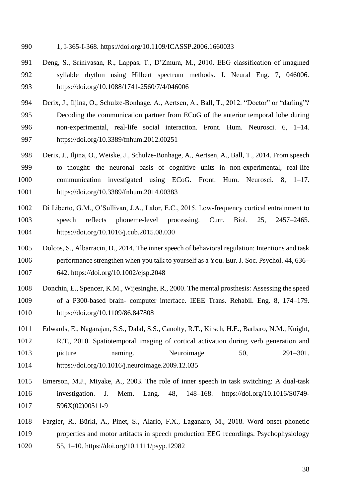- 1, I-365-I-368. https://doi.org/10.1109/ICASSP.2006.1660033
- Deng, S., Srinivasan, R., Lappas, T., D'Zmura, M., 2010. EEG classification of imagined syllable rhythm using Hilbert spectrum methods. J. Neural Eng. 7, 046006. https://doi.org/10.1088/1741-2560/7/4/046006
- 994 Derix, J., Iljina, O., Schulze-Bonhage, A., Aertsen, A., Ball, T., 2012. "Doctor" or "darling"?
- Decoding the communication partner from ECoG of the anterior temporal lobe during non-experimental, real-life social interaction. Front. Hum. Neurosci. 6, 1–14. https://doi.org/10.3389/fnhum.2012.00251
- Derix, J., Iljina, O., Weiske, J., Schulze-Bonhage, A., Aertsen, A., Ball, T., 2014. From speech to thought: the neuronal basis of cognitive units in non-experimental, real-life communication investigated using ECoG. Front. Hum. Neurosci. 8, 1–17. https://doi.org/10.3389/fnhum.2014.00383
- Di Liberto, G.M., O'Sullivan, J.A., Lalor, E.C., 2015. Low-frequency cortical entrainment to speech reflects phoneme-level processing. Curr. Biol. 25, 2457–2465. https://doi.org/10.1016/j.cub.2015.08.030
- Dolcos, S., Albarracin, D., 2014. The inner speech of behavioral regulation: Intentions and task performance strengthen when you talk to yourself as a You. Eur. J. Soc. Psychol. 44, 636– 642. https://doi.org/10.1002/ejsp.2048
- Donchin, E., Spencer, K.M., Wijesinghe, R., 2000. The mental prosthesis: Assessing the speed of a P300-based brain- computer interface. IEEE Trans. Rehabil. Eng. 8, 174–179. https://doi.org/10.1109/86.847808
- Edwards, E., Nagarajan, S.S., Dalal, S.S., Canolty, R.T., Kirsch, H.E., Barbaro, N.M., Knight, R.T., 2010. Spatiotemporal imaging of cortical activation during verb generation and 1013 picture naming. Neuroimage 50, 291–301. https://doi.org/10.1016/j.neuroimage.2009.12.035
- Emerson, M.J., Miyake, A., 2003. The role of inner speech in task switching: A dual-task investigation. J. Mem. Lang. 48, 148–168. https://doi.org/10.1016/S0749- 596X(02)00511-9
- Fargier, R., Bürki, A., Pinet, S., Alario, F.X., Laganaro, M., 2018. Word onset phonetic properties and motor artifacts in speech production EEG recordings. Psychophysiology 55, 1–10. https://doi.org/10.1111/psyp.12982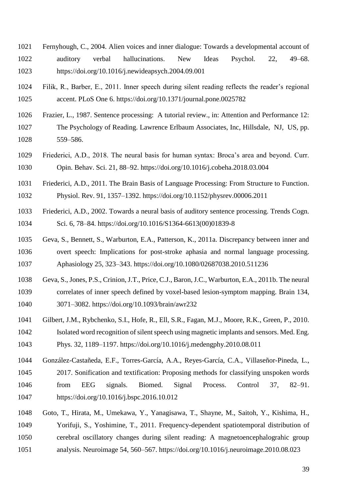- Fernyhough, C., 2004. Alien voices and inner dialogue: Towards a developmental account of auditory verbal hallucinations. New Ideas Psychol. 22, 49–68. https://doi.org/10.1016/j.newideapsych.2004.09.001
- Filik, R., Barber, E., 2011. Inner speech during silent reading reflects the reader's regional accent. PLoS One 6. https://doi.org/10.1371/journal.pone.0025782
- Frazier, L., 1987. Sentence processing: A tutorial review., in: Attention and Performance 12: The Psychology of Reading. Lawrence Erlbaum Associates, Inc, Hillsdale, NJ, US, pp. 559–586.
- Friederici, A.D., 2018. The neural basis for human syntax: Broca's area and beyond. Curr. Opin. Behav. Sci. 21, 88–92. https://doi.org/10.1016/j.cobeha.2018.03.004
- Friederici, A.D., 2011. The Brain Basis of Language Processing: From Structure to Function. Physiol. Rev. 91, 1357–1392. https://doi.org/10.1152/physrev.00006.2011
- Friederici, A.D., 2002. Towards a neural basis of auditory sentence processing. Trends Cogn. Sci. 6, 78–84. https://doi.org/10.1016/S1364-6613(00)01839-8
- Geva, S., Bennett, S., Warburton, E.A., Patterson, K., 2011a. Discrepancy between inner and overt speech: Implications for post-stroke aphasia and normal language processing. Aphasiology 25, 323–343. https://doi.org/10.1080/02687038.2010.511236
- Geva, S., Jones, P.S., Crinion, J.T., Price, C.J., Baron, J.C., Warburton, E.A., 2011b. The neural correlates of inner speech defined by voxel-based lesion-symptom mapping. Brain 134, 3071–3082. https://doi.org/10.1093/brain/awr232
- Gilbert, J.M., Rybchenko, S.I., Hofe, R., Ell, S.R., Fagan, M.J., Moore, R.K., Green, P., 2010. Isolated word recognition of silent speech using magnetic implants and sensors. Med. Eng. Phys. 32, 1189–1197. https://doi.org/10.1016/j.medengphy.2010.08.011
- González-Castañeda, E.F., Torres-García, A.A., Reyes-García, C.A., Villaseñor-Pineda, L., 2017. Sonification and textification: Proposing methods for classifying unspoken words from EEG signals. Biomed. Signal Process. Control 37, 82–91. https://doi.org/10.1016/j.bspc.2016.10.012
- Goto, T., Hirata, M., Umekawa, Y., Yanagisawa, T., Shayne, M., Saitoh, Y., Kishima, H., Yorifuji, S., Yoshimine, T., 2011. Frequency-dependent spatiotemporal distribution of cerebral oscillatory changes during silent reading: A magnetoencephalograhic group analysis. Neuroimage 54, 560–567. https://doi.org/10.1016/j.neuroimage.2010.08.023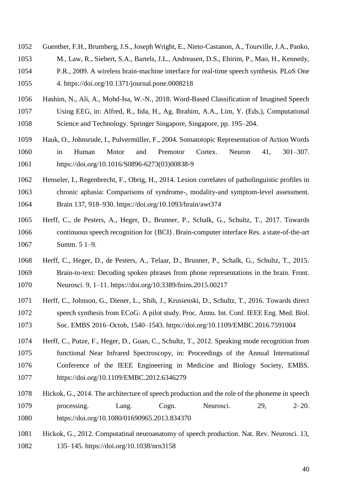- Guenther, F.H., Brumberg, J.S., Joseph Wright, E., Nieto-Castanon, A., Tourville, J.A., Panko,
- M., Law, R., Siebert, S.A., Bartels, J.L., Andreasen, D.S., Ehirim, P., Mao, H., Kennedy,
- P.R., 2009. A wireless brain-machine interface for real-time speech synthesis. PLoS One 4. https://doi.org/10.1371/journal.pone.0008218
- Hashim, N., Ali, A., Mohd-Isa, W.-N., 2018. Word-Based Classification of Imagined Speech Using EEG, in: Alfred, R., Iida, H., Ag. Ibrahim, A.A., Lim, Y. (Eds.), Computational Science and Technology. Springer Singapore, Singapore, pp. 195–204.
- Hauk, O., Johnsrude, I., Pulvermüller, F., 2004. Somatotopic Representation of Action Words in Human Motor and Premotor Cortex. Neuron 41, 301–307. https://doi.org/10.1016/S0896-6273(03)00838-9
- Henseler, I., Regenbrecht, F., Obrig, H., 2014. Lesion correlates of patholinguistic profiles in chronic aphasia: Comparisons of syndrome-, modality-and symptom-level assessment. Brain 137, 918–930. https://doi.org/10.1093/brain/awt374
- Herff, C., de Pesters, A., Heger, D., Brunner, P., Schalk, G., Schultz, T., 2017. Towards continuous speech recognition for {BCI}. Brain-computer interface Res. a state-of-the-art Summ. 5 1–9.
- Herff, C., Heger, D., de Pesters, A., Telaar, D., Brunner, P., Schalk, G., Schultz, T., 2015. Brain-to-text: Decoding spoken phrases from phone representations in the brain. Front. Neurosci. 9, 1–11. https://doi.org/10.3389/fnins.2015.00217
- Herff, C., Johnson, G., Diener, L., Shih, J., Krusienski, D., Schultz, T., 2016. Towards direct speech synthesis from ECoG: A pilot study. Proc. Annu. Int. Conf. IEEE Eng. Med. Biol. Soc. EMBS 2016–Octob, 1540–1543. https://doi.org/10.1109/EMBC.2016.7591004
- Herff, C., Putze, F., Heger, D., Guan, C., Schultz, T., 2012. Speaking mode recognition from functional Near Infrared Spectroscopy, in: Proceedings of the Annual International Conference of the IEEE Engineering in Medicine and Biology Society, EMBS. https://doi.org/10.1109/EMBC.2012.6346279
- Hickok, G., 2014. The architecture of speech production and the role of the phoneme in speech processing. Lang. Cogn. Neurosci. 29, 2–20. https://doi.org/10.1080/01690965.2013.834370
- Hickok, G., 2012. Computatinal neuroanatomy of speech production. Nat. Rev. Neurosci. 13, 135–145. https://doi.org/10.1038/nrn3158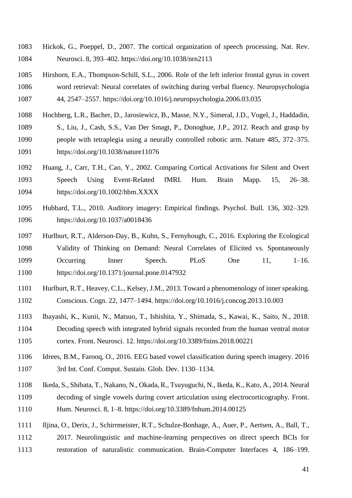- Hickok, G., Poeppel, D., 2007. The cortical organization of speech processing. Nat. Rev. Neurosci. 8, 393–402. https://doi.org/10.1038/nrn2113
- Hirshorn, E.A., Thompson-Schill, S.L., 2006. Role of the left inferior frontal gyrus in covert word retrieval: Neural correlates of switching during verbal fluency. Neuropsychologia 44, 2547–2557. https://doi.org/10.1016/j.neuropsychologia.2006.03.035
- Hochberg, L.R., Bacher, D., Jarosiewicz, B., Masse, N.Y., Simeral, J.D., Vogel, J., Haddadin, S., Liu, J., Cash, S.S., Van Der Smagt, P., Donoghue, J.P., 2012. Reach and grasp by people with tetraplegia using a neurally controlled robotic arm. Nature 485, 372–375. https://doi.org/10.1038/nature11076
- Huang, J., Carr, T.H., Cao, Y., 2002. Comparing Cortical Activations for Silent and Overt Speech Using Event-Related fMRI. Hum. Brain Mapp. 15, 26–38. https://doi.org/10.1002/hbm.XXXX
- Hubbard, T.L., 2010. Auditory imagery: Empirical findings. Psychol. Bull. 136, 302–329. https://doi.org/10.1037/a0018436
- Hurlburt, R.T., Alderson-Day, B., Kuhn, S., Fernyhough, C., 2016. Exploring the Ecological Validity of Thinking on Demand: Neural Correlates of Elicited vs. Spontaneously Occurring Inner Speech. PLoS One 11, 1–16. https://doi.org/10.1371/journal.pone.0147932
- Hurlburt, R.T., Heavey, C.L., Kelsey, J.M., 2013. Toward a phenomenology of inner speaking. Conscious. Cogn. 22, 1477–1494. https://doi.org/10.1016/j.concog.2013.10.003
- Ibayashi, K., Kunii, N., Matsuo, T., Ishishita, Y., Shimada, S., Kawai, K., Saito, N., 2018. Decoding speech with integrated hybrid signals recorded from the human ventral motor cortex. Front. Neurosci. 12. https://doi.org/10.3389/fnins.2018.00221
- Idrees, B.M., Farooq, O., 2016. EEG based vowel classification during speech imagery. 2016 3rd Int. Conf. Comput. Sustain. Glob. Dev. 1130–1134.
- Ikeda, S., Shibata, T., Nakano, N., Okada, R., Tsuyuguchi, N., Ikeda, K., Kato, A., 2014. Neural decoding of single vowels during covert articulation using electrocorticography. Front. Hum. Neurosci. 8, 1–8. https://doi.org/10.3389/fnhum.2014.00125
- Iljina, O., Derix, J., Schirrmeister, R.T., Schulze-Bonhage, A., Auer, P., Aertsen, A., Ball, T., 2017. Neurolinguistic and machine-learning perspectives on direct speech BCIs for restoration of naturalistic communication. Brain-Computer Interfaces 4, 186–199.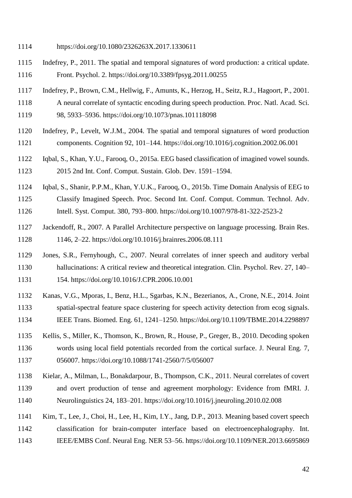- https://doi.org/10.1080/2326263X.2017.1330611
- Indefrey, P., 2011. The spatial and temporal signatures of word production: a critical update. Front. Psychol. 2. https://doi.org/10.3389/fpsyg.2011.00255
- Indefrey, P., Brown, C.M., Hellwig, F., Amunts, K., Herzog, H., Seitz, R.J., Hagoort, P., 2001.
- A neural correlate of syntactic encoding during speech production. Proc. Natl. Acad. Sci.
- 98, 5933–5936. https://doi.org/10.1073/pnas.101118098
- Indefrey, P., Levelt, W.J.M., 2004. The spatial and temporal signatures of word production components. Cognition 92, 101–144. https://doi.org/10.1016/j.cognition.2002.06.001
- Iqbal, S., Khan, Y.U., Farooq, O., 2015a. EEG based classification of imagined vowel sounds. 2015 2nd Int. Conf. Comput. Sustain. Glob. Dev. 1591–1594.
- Iqbal, S., Shanir, P.P.M., Khan, Y.U.K., Farooq, O., 2015b. Time Domain Analysis of EEG to Classify Imagined Speech. Proc. Second Int. Conf. Comput. Commun. Technol. Adv. Intell. Syst. Comput. 380, 793–800. https://doi.org/10.1007/978-81-322-2523-2
- Jackendoff, R., 2007. A Parallel Architecture perspective on language processing. Brain Res. 1146, 2–22. https://doi.org/10.1016/j.brainres.2006.08.111
- Jones, S.R., Fernyhough, C., 2007. Neural correlates of inner speech and auditory verbal hallucinations: A critical review and theoretical integration. Clin. Psychol. Rev. 27, 140– 154. https://doi.org/10.1016/J.CPR.2006.10.001
- Kanas, V.G., Mporas, I., Benz, H.L., Sgarbas, K.N., Bezerianos, A., Crone, N.E., 2014. Joint spatial-spectral feature space clustering for speech activity detection from ecog signals. IEEE Trans. Biomed. Eng. 61, 1241–1250. https://doi.org/10.1109/TBME.2014.2298897
- Kellis, S., Miller, K., Thomson, K., Brown, R., House, P., Greger, B., 2010. Decoding spoken words using local field potentials recorded from the cortical surface. J. Neural Eng. 7, 056007. https://doi.org/10.1088/1741-2560/7/5/056007
- Kielar, A., Milman, L., Bonakdarpour, B., Thompson, C.K., 2011. Neural correlates of covert and overt production of tense and agreement morphology: Evidence from fMRI. J. Neurolinguistics 24, 183–201. https://doi.org/10.1016/j.jneuroling.2010.02.008
- Kim, T., Lee, J., Choi, H., Lee, H., Kim, I.Y., Jang, D.P., 2013. Meaning based covert speech classification for brain-computer interface based on electroencephalography. Int. IEEE/EMBS Conf. Neural Eng. NER 53–56. https://doi.org/10.1109/NER.2013.6695869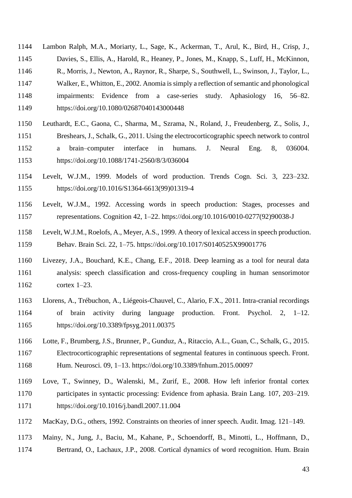Lambon Ralph, M.A., Moriarty, L., Sage, K., Ackerman, T., Arul, K., Bird, H., Crisp, J., Davies, S., Ellis, A., Harold, R., Heaney, P., Jones, M., Knapp, S., Luff, H., McKinnon, R., Morris, J., Newton, A., Raynor, R., Sharpe, S., Southwell, L., Swinson, J., Taylor, L.,

- 
- Walker, E., Whitton, E., 2002. Anomia is simply a reflection of semantic and phonological impairments: Evidence from a case-series study. Aphasiology 16, 56–82.
- https://doi.org/10.1080/02687040143000448
- Leuthardt, E.C., Gaona, C., Sharma, M., Szrama, N., Roland, J., Freudenberg, Z., Solis, J., Breshears, J., Schalk, G., 2011. Using the electrocorticographic speech network to control a brain–computer interface in humans. J. Neural Eng. 8, 036004. https://doi.org/10.1088/1741-2560/8/3/036004
- Levelt, W.J.M., 1999. Models of word production. Trends Cogn. Sci. 3, 223–232. https://doi.org/10.1016/S1364-6613(99)01319-4
- Levelt, W.J.M., 1992. Accessing words in speech production: Stages, processes and representations. Cognition 42, 1–22. https://doi.org/10.1016/0010-0277(92)90038-J
- Levelt, W.J.M., Roelofs, A., Meyer, A.S., 1999. A theory of lexical access in speech production. Behav. Brain Sci. 22, 1–75. https://doi.org/10.1017/S0140525X99001776
- Livezey, J.A., Bouchard, K.E., Chang, E.F., 2018. Deep learning as a tool for neural data analysis: speech classification and cross-frequency coupling in human sensorimotor cortex 1–23.
- Llorens, A., Trébuchon, A., Liégeois-Chauvel, C., Alario, F.X., 2011. Intra-cranial recordings of brain activity during language production. Front. Psychol. 2, 1–12. https://doi.org/10.3389/fpsyg.2011.00375
- Lotte, F., Brumberg, J.S., Brunner, P., Gunduz, A., Ritaccio, A.L., Guan, C., Schalk, G., 2015. Electrocorticographic representations of segmental features in continuous speech. Front. Hum. Neurosci. 09, 1–13. https://doi.org/10.3389/fnhum.2015.00097
- Love, T., Swinney, D., Walenski, M., Zurif, E., 2008. How left inferior frontal cortex participates in syntactic processing: Evidence from aphasia. Brain Lang. 107, 203–219. https://doi.org/10.1016/j.bandl.2007.11.004
- MacKay, D.G., others, 1992. Constraints on theories of inner speech. Audit. Imag. 121–149.
- Mainy, N., Jung, J., Baciu, M., Kahane, P., Schoendorff, B., Minotti, L., Hoffmann, D., Bertrand, O., Lachaux, J.P., 2008. Cortical dynamics of word recognition. Hum. Brain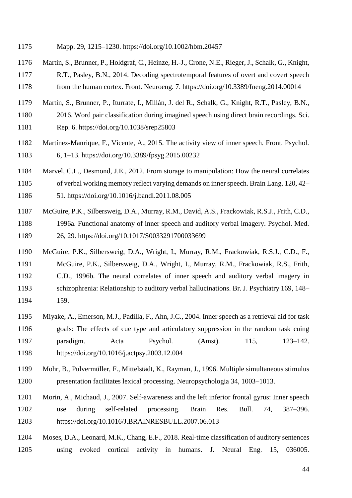- Martin, S., Brunner, P., Holdgraf, C., Heinze, H.-J., Crone, N.E., Rieger, J., Schalk, G., Knight, R.T., Pasley, B.N., 2014. Decoding spectrotemporal features of overt and covert speech from the human cortex. Front. Neuroeng. 7. https://doi.org/10.3389/fneng.2014.00014
- Martin, S., Brunner, P., Iturrate, I., Millán, J. del R., Schalk, G., Knight, R.T., Pasley, B.N.,
- 2016. Word pair classification during imagined speech using direct brain recordings. Sci.
- Rep. 6. https://doi.org/10.1038/srep25803
- Martínez-Manrique, F., Vicente, A., 2015. The activity view of inner speech. Front. Psychol.

6, 1–13. https://doi.org/10.3389/fpsyg.2015.00232

- Marvel, C.L., Desmond, J.E., 2012. From storage to manipulation: How the neural correlates
- of verbal working memory reflect varying demands on inner speech. Brain Lang. 120, 42– 51. https://doi.org/10.1016/j.bandl.2011.08.005
- McGuire, P.K., Silbersweig, D.A., Murray, R.M., David, A.S., Frackowiak, R.S.J., Frith, C.D., 1996a. Functional anatomy of inner speech and auditory verbal imagery. Psychol. Med. 26, 29. https://doi.org/10.1017/S0033291700033699
- McGuire, P.K., Silbersweig, D.A., Wright, I., Murray, R.M., Frackowiak, R.S.J., C.D., F., McGuire, P.K., Silbersweig, D.A., Wright, I., Murray, R.M., Frackowiak, R.S., Frith, C.D., 1996b. The neural correlates of inner speech and auditory verbal imagery in schizophrenia: Relationship to auditory verbal hallucinations. Br. J. Psychiatry 169, 148– 159.
- Miyake, A., Emerson, M.J., Padilla, F., Ahn, J.C., 2004. Inner speech as a retrieval aid for task goals: The effects of cue type and articulatory suppression in the random task cuing paradigm. Acta Psychol. (Amst). 115, 123–142. https://doi.org/10.1016/j.actpsy.2003.12.004
- Mohr, B., Pulvermüller, F., Mittelstädt, K., Rayman, J., 1996. Multiple simultaneous stimulus presentation facilitates lexical processing. Neuropsychologia 34, 1003–1013.
- Morin, A., Michaud, J., 2007. Self-awareness and the left inferior frontal gyrus: Inner speech use during self-related processing. Brain Res. Bull. 74, 387–396. https://doi.org/10.1016/J.BRAINRESBULL.2007.06.013
- Moses, D.A., Leonard, M.K., Chang, E.F., 2018. Real-time classification of auditory sentences using evoked cortical activity in humans. J. Neural Eng. 15, 036005.

Mapp. 29, 1215–1230. https://doi.org/10.1002/hbm.20457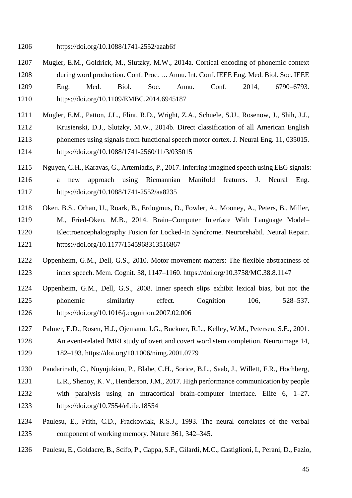https://doi.org/10.1088/1741-2552/aaab6f

- Mugler, E.M., Goldrick, M., Slutzky, M.W., 2014a. Cortical encoding of phonemic context during word production. Conf. Proc. ... Annu. Int. Conf. IEEE Eng. Med. Biol. Soc. IEEE Eng. Med. Biol. Soc. Annu. Conf. 2014, 6790–6793. https://doi.org/10.1109/EMBC.2014.6945187
- Mugler, E.M., Patton, J.L., Flint, R.D., Wright, Z.A., Schuele, S.U., Rosenow, J., Shih, J.J., Krusienski, D.J., Slutzky, M.W., 2014b. Direct classification of all American English phonemes using signals from functional speech motor cortex. J. Neural Eng. 11, 035015. https://doi.org/10.1088/1741-2560/11/3/035015
- Nguyen, C.H., Karavas, G., Artemiadis, P., 2017. Inferring imagined speech using EEG signals: a new approach using Riemannian Manifold features. J. Neural Eng. https://doi.org/10.1088/1741-2552/aa8235
- Oken, B.S., Orhan, U., Roark, B., Erdogmus, D., Fowler, A., Mooney, A., Peters, B., Miller, M., Fried-Oken, M.B., 2014. Brain–Computer Interface With Language Model– Electroencephalography Fusion for Locked-In Syndrome. Neurorehabil. Neural Repair. https://doi.org/10.1177/1545968313516867
- Oppenheim, G.M., Dell, G.S., 2010. Motor movement matters: The flexible abstractness of inner speech. Mem. Cognit. 38, 1147–1160. https://doi.org/10.3758/MC.38.8.1147
- Oppenheim, G.M., Dell, G.S., 2008. Inner speech slips exhibit lexical bias, but not the 1225 phonemic similarity effect. Cognition 106, 528–537. https://doi.org/10.1016/j.cognition.2007.02.006
- Palmer, E.D., Rosen, H.J., Ojemann, J.G., Buckner, R.L., Kelley, W.M., Petersen, S.E., 2001. An event-related fMRI study of overt and covert word stem completion. Neuroimage 14, 182–193. https://doi.org/10.1006/nimg.2001.0779
- Pandarinath, C., Nuyujukian, P., Blabe, C.H., Sorice, B.L., Saab, J., Willett, F.R., Hochberg,
- L.R., Shenoy, K. V., Henderson, J.M., 2017. High performance communication by people with paralysis using an intracortical brain-computer interface. Elife 6, 1–27. https://doi.org/10.7554/eLife.18554
- Paulesu, E., Frith, C.D., Frackowiak, R.S.J., 1993. The neural correlates of the verbal component of working memory. Nature 361, 342–345.
- Paulesu, E., Goldacre, B., Scifo, P., Cappa, S.F., Gilardi, M.C., Castiglioni, I., Perani, D., Fazio,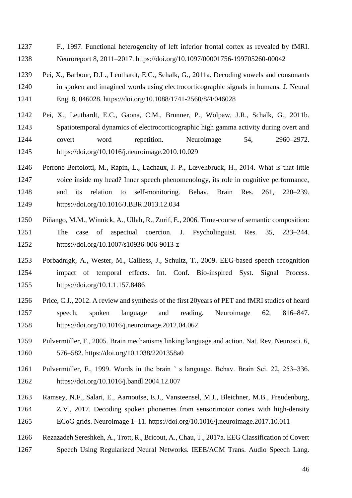- F., 1997. Functional heterogeneity of left inferior frontal cortex as revealed by fMRI. Neuroreport 8, 2011–2017. https://doi.org/10.1097/00001756-199705260-00042
- Pei, X., Barbour, D.L., Leuthardt, E.C., Schalk, G., 2011a. Decoding vowels and consonants in spoken and imagined words using electrocorticographic signals in humans. J. Neural Eng. 8, 046028. https://doi.org/10.1088/1741-2560/8/4/046028
- Pei, X., Leuthardt, E.C., Gaona, C.M., Brunner, P., Wolpaw, J.R., Schalk, G., 2011b. Spatiotemporal dynamics of electrocorticographic high gamma activity during overt and covert word repetition. Neuroimage 54, 2960–2972. https://doi.org/10.1016/j.neuroimage.2010.10.029
- Perrone-Bertolotti, M., Rapin, L., Lachaux, J.-P., Lœvenbruck, H., 2014. What is that little voice inside my head? Inner speech phenomenology, its role in cognitive performance, and its relation to self-monitoring. Behav. Brain Res. 261, 220–239. https://doi.org/10.1016/J.BBR.2013.12.034
- Piñango, M.M., Winnick, A., Ullah, R., Zurif, E., 2006. Time-course of semantic composition: The case of aspectual coercion. J. Psycholinguist. Res. 35, 233–244. https://doi.org/10.1007/s10936-006-9013-z
- Porbadnigk, A., Wester, M., Calliess, J., Schultz, T., 2009. EEG-based speech recognition impact of temporal effects. Int. Conf. Bio-inspired Syst. Signal Process. https://doi.org/10.1.1.157.8486
- Price, C.J., 2012. A review and synthesis of the first 20years of PET and fMRI studies of heard speech, spoken language and reading. Neuroimage 62, 816–847. https://doi.org/10.1016/j.neuroimage.2012.04.062
- Pulvermüller, F., 2005. Brain mechanisms linking language and action. Nat. Rev. Neurosci. 6, 576–582. https://doi.org/10.1038/2201358a0
- Pulvermüller, F., 1999. Words in the brain ' s language. Behav. Brain Sci. 22, 253–336. https://doi.org/10.1016/j.bandl.2004.12.007
- Ramsey, N.F., Salari, E., Aarnoutse, E.J., Vansteensel, M.J., Bleichner, M.B., Freudenburg, Z.V., 2017. Decoding spoken phonemes from sensorimotor cortex with high-density ECoG grids. Neuroimage 1–11. https://doi.org/10.1016/j.neuroimage.2017.10.011
- Rezazadeh Sereshkeh, A., Trott, R., Bricout, A., Chau, T., 2017a. EEG Classification of Covert
- Speech Using Regularized Neural Networks. IEEE/ACM Trans. Audio Speech Lang.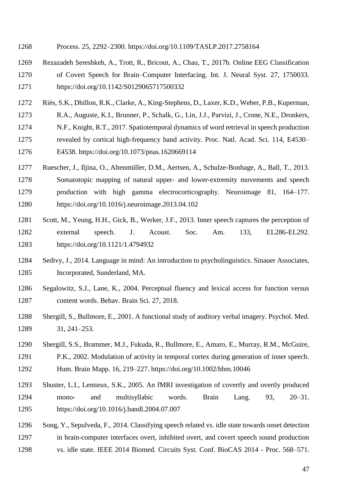- Process. 25, 2292–2300. https://doi.org/10.1109/TASLP.2017.2758164
- Rezazadeh Sereshkeh, A., Trott, R., Bricout, A., Chau, T., 2017b. Online EEG Classification of Covert Speech for Brain–Computer Interfacing. Int. J. Neural Syst. 27, 1750033. https://doi.org/10.1142/S0129065717500332
- Riès, S.K., Dhillon, R.K., Clarke, A., King-Stephens, D., Laxer, K.D., Weber, P.B., Kuperman,
- R.A., Auguste, K.I., Brunner, P., Schalk, G., Lin, J.J., Parvizi, J., Crone, N.E., Dronkers,
- N.F., Knight, R.T., 2017. Spatiotemporal dynamics of word retrieval in speech production
- revealed by cortical high-frequency band activity. Proc. Natl. Acad. Sci. 114, E4530–
- E4538. https://doi.org/10.1073/pnas.1620669114
- Ruescher, J., Iljina, O., Altenmüller, D.M., Aertsen, A., Schulze-Bonhage, A., Ball, T., 2013. Somatotopic mapping of natural upper- and lower-extremity movements and speech production with high gamma electrocorticography. Neuroimage 81, 164–177. https://doi.org/10.1016/j.neuroimage.2013.04.102
- Scott, M., Yeung, H.H., Gick, B., Werker, J.F., 2013. Inner speech captures the perception of external speech. J. Acoust. Soc. Am. 133, EL286-EL292. https://doi.org/10.1121/1.4794932
- Sedivy, J., 2014. Language in mind: An introduction to psycholinguistics. Sinauer Associates, Incorporated, Sunderland, MA.
- Segalowitz, S.J., Lane, K., 2004. Perceptual fluency and lexical access for function versus content words. Behav. Brain Sci. 27, 2018.
- Shergill, S., Bullmore, E., 2001. A functional study of auditory verbal imagery. Psychol. Med. 31, 241–253.
- Shergill, S.S., Brammer, M.J., Fukuda, R., Bullmore, E., Amaro, E., Murray, R.M., McGuire, P.K., 2002. Modulation of activity in temporal cortex during generation of inner speech. Hum. Brain Mapp. 16, 219–227. https://doi.org/10.1002/hbm.10046
- Shuster, L.I., Lemieux, S.K., 2005. An fMRI investigation of covertly and overtly produced mono- and multisyllabic words. Brain Lang. 93, 20–31. https://doi.org/10.1016/j.bandl.2004.07.007
- Song, Y., Sepulveda, F., 2014. Classifying speech related vs. idle state towards onset detection in brain-computer interfaces overt, inhibited overt, and covert speech sound production vs. idle state. IEEE 2014 Biomed. Circuits Syst. Conf. BioCAS 2014 - Proc. 568–571.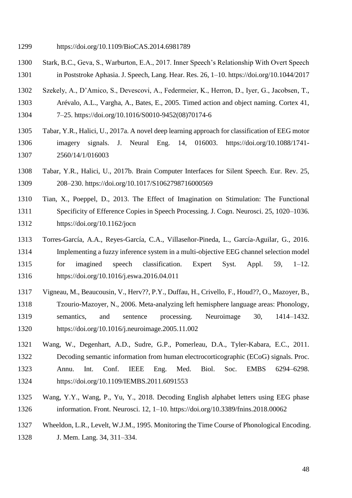- Stark, B.C., Geva, S., Warburton, E.A., 2017. Inner Speech's Relationship With Overt Speech in Poststroke Aphasia. J. Speech, Lang. Hear. Res. 26, 1–10. https://doi.org/10.1044/2017
- Szekely, A., D'Amico, S., Devescovi, A., Federmeier, K., Herron, D., Iyer, G., Jacobsen, T.,
- Arévalo, A.L., Vargha, A., Bates, E., 2005. Timed action and object naming. Cortex 41,
- 7–25. https://doi.org/10.1016/S0010-9452(08)70174-6
- Tabar, Y.R., Halici, U., 2017a. A novel deep learning approach for classification of EEG motor imagery signals. J. Neural Eng. 14, 016003. https://doi.org/10.1088/1741- 2560/14/1/016003
- Tabar, Y.R., Halici, U., 2017b. Brain Computer Interfaces for Silent Speech. Eur. Rev. 25, 208–230. https://doi.org/10.1017/S1062798716000569
- Tian, X., Poeppel, D., 2013. The Effect of Imagination on Stimulation: The Functional Specificity of Efference Copies in Speech Processing. J. Cogn. Neurosci. 25, 1020–1036. https://doi.org/10.1162/jocn
- Torres-García, A.A., Reyes-García, C.A., Villaseñor-Pineda, L., García-Aguilar, G., 2016. Implementing a fuzzy inference system in a multi-objective EEG channel selection model for imagined speech classification. Expert Syst. Appl. 59, 1–12. https://doi.org/10.1016/j.eswa.2016.04.011
- Vigneau, M., Beaucousin, V., Herv??, P.Y., Duffau, H., Crivello, F., Houd??, O., Mazoyer, B., Tzourio-Mazoyer, N., 2006. Meta-analyzing left hemisphere language areas: Phonology, semantics, and sentence processing. Neuroimage 30, 1414–1432. https://doi.org/10.1016/j.neuroimage.2005.11.002
- Wang, W., Degenhart, A.D., Sudre, G.P., Pomerleau, D.A., Tyler-Kabara, E.C., 2011. Decoding semantic information from human electrocorticographic (ECoG) signals. Proc. Annu. Int. Conf. IEEE Eng. Med. Biol. Soc. EMBS 6294–6298. https://doi.org/10.1109/IEMBS.2011.6091553
- Wang, Y.Y., Wang, P., Yu, Y., 2018. Decoding English alphabet letters using EEG phase information. Front. Neurosci. 12, 1–10. https://doi.org/10.3389/fnins.2018.00062
- Wheeldon, L.R., Levelt, W.J.M., 1995. Monitoring the Time Course of Phonological Encoding. J. Mem. Lang. 34, 311–334.

https://doi.org/10.1109/BioCAS.2014.6981789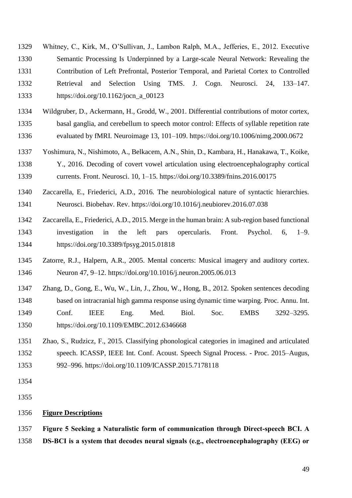- Whitney, C., Kirk, M., O'Sullivan, J., Lambon Ralph, M.A., Jefferies, E., 2012. Executive Semantic Processing Is Underpinned by a Large-scale Neural Network: Revealing the Contribution of Left Prefrontal, Posterior Temporal, and Parietal Cortex to Controlled Retrieval and Selection Using TMS. J. Cogn. Neurosci. 24, 133–147. https://doi.org/10.1162/jocn\_a\_00123
- Wildgruber, D., Ackermann, H., Grodd, W., 2001. Differential contributions of motor cortex, basal ganglia, and cerebellum to speech motor control: Effects of syllable repetition rate evaluated by fMRI. Neuroimage 13, 101–109. https://doi.org/10.1006/nimg.2000.0672
- Yoshimura, N., Nishimoto, A., Belkacem, A.N., Shin, D., Kambara, H., Hanakawa, T., Koike, Y., 2016. Decoding of covert vowel articulation using electroencephalography cortical currents. Front. Neurosci. 10, 1–15. https://doi.org/10.3389/fnins.2016.00175
- Zaccarella, E., Friederici, A.D., 2016. The neurobiological nature of syntactic hierarchies. Neurosci. Biobehav. Rev. https://doi.org/10.1016/j.neubiorev.2016.07.038
- Zaccarella, E., Friederici, A.D., 2015. Merge in the human brain: A sub-region based functional investigation in the left pars opercularis. Front. Psychol. 6, 1–9. https://doi.org/10.3389/fpsyg.2015.01818
- Zatorre, R.J., Halpern, A.R., 2005. Mental concerts: Musical imagery and auditory cortex. Neuron 47, 9–12. https://doi.org/10.1016/j.neuron.2005.06.013
- Zhang, D., Gong, E., Wu, W., Lin, J., Zhou, W., Hong, B., 2012. Spoken sentences decoding based on intracranial high gamma response using dynamic time warping. Proc. Annu. Int. Conf. IEEE Eng. Med. Biol. Soc. EMBS 3292–3295. https://doi.org/10.1109/EMBC.2012.6346668
- Zhao, S., Rudzicz, F., 2015. Classifying phonological categories in imagined and articulated speech. ICASSP, IEEE Int. Conf. Acoust. Speech Signal Process. - Proc. 2015–Augus, 992–996. https://doi.org/10.1109/ICASSP.2015.7178118
- 

#### **Figure Descriptions**

 **Figure 5 Seeking a Naturalistic form of communication through Direct-speech BCI. A DS-BCI is a system that decodes neural signals (e.g., electroencephalography (EEG) or**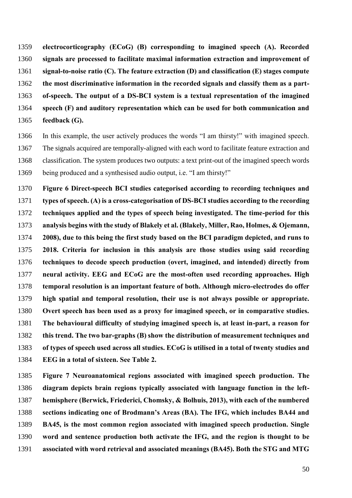**electrocorticography (ECoG) (B) corresponding to imagined speech (A). Recorded signals are processed to facilitate maximal information extraction and improvement of signal-to-noise ratio (C). The feature extraction (D) and classification (E) stages compute the most discriminative information in the recorded signals and classify them as a part- of-speech. The output of a DS-BCI system is a textual representation of the imagined speech (F) and auditory representation which can be used for both communication and feedback (G).**

 In this example, the user actively produces the words "I am thirsty!" with imagined speech. The signals acquired are temporally-aligned with each word to facilitate feature extraction and classification. The system produces two outputs: a text print-out of the imagined speech words being produced and a synthesised audio output, i.e. "I am thirsty!"

 **Figure 6 Direct-speech BCI studies categorised according to recording techniques and types of speech. (A) is a cross-categorisation of DS-BCI studies according to the recording techniques applied and the types of speech being investigated. The time-period for this analysis begins with the study of Blakely et al. (Blakely, Miller, Rao, Holmes, & Ojemann, 2008), due to this being the first study based on the BCI paradigm depicted, and runs to 2018. Criteria for inclusion in this analysis are those studies using said recording techniques to decode speech production (overt, imagined, and intended) directly from neural activity. EEG and ECoG are the most-often used recording approaches. High temporal resolution is an important feature of both. Although micro-electrodes do offer high spatial and temporal resolution, their use is not always possible or appropriate. Overt speech has been used as a proxy for imagined speech, or in comparative studies. The behavioural difficulty of studying imagined speech is, at least in-part, a reason for this trend. The two bar-graphs (B) show the distribution of measurement techniques and of types of speech used across all studies. ECoG is utilised in a total of twenty studies and EEG in a total of sixteen. See Table 2.**

 **Figure 7 Neuroanatomical regions associated with imagined speech production. The diagram depicts brain regions typically associated with language function in the left- hemisphere (Berwick, Friederici, Chomsky, & Bolhuis, 2013), with each of the numbered sections indicating one of Brodmann's Areas (BA). The IFG, which includes BA44 and BA45, is the most common region associated with imagined speech production. Single word and sentence production both activate the IFG, and the region is thought to be associated with word retrieval and associated meanings (BA45). Both the STG and MTG**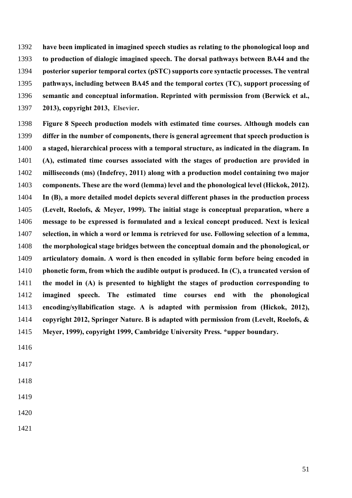**have been implicated in imagined speech studies as relating to the phonological loop and to production of dialogic imagined speech. The dorsal pathways between BA44 and the posterior superior temporal cortex (pSTC) supports core syntactic processes. The ventral pathways, including between BA45 and the temporal cortex (TC), support processing of semantic and conceptual information. Reprinted with permission from (Berwick et al., 2013), copyright 2013, Elsevier.**

 **Figure 8 Speech production models with estimated time courses. Although models can differ in the number of components, there is general agreement that speech production is a staged, hierarchical process with a temporal structure, as indicated in the diagram. In (A), estimated time courses associated with the stages of production are provided in milliseconds (ms) (Indefrey, 2011) along with a production model containing two major components. These are the word (lemma) level and the phonological level (Hickok, 2012). In (B), a more detailed model depicts several different phases in the production process (Levelt, Roelofs, & Meyer, 1999). The initial stage is conceptual preparation, where a message to be expressed is formulated and a lexical concept produced. Next is lexical selection, in which a word or lemma is retrieved for use. Following selection of a lemma, the morphological stage bridges between the conceptual domain and the phonological, or articulatory domain. A word is then encoded in syllabic form before being encoded in phonetic form, from which the audible output is produced. In (C), a truncated version of the model in (A) is presented to highlight the stages of production corresponding to imagined speech. The estimated time courses end with the phonological encoding/syllabification stage. A is adapted with permission from (Hickok, 2012), copyright 2012, Springer Nature. B is adapted with permission from (Levelt, Roelofs, & Meyer, 1999), copyright 1999, Cambridge University Press. \*upper boundary.**

- 
- 
- 
- 
- 
-